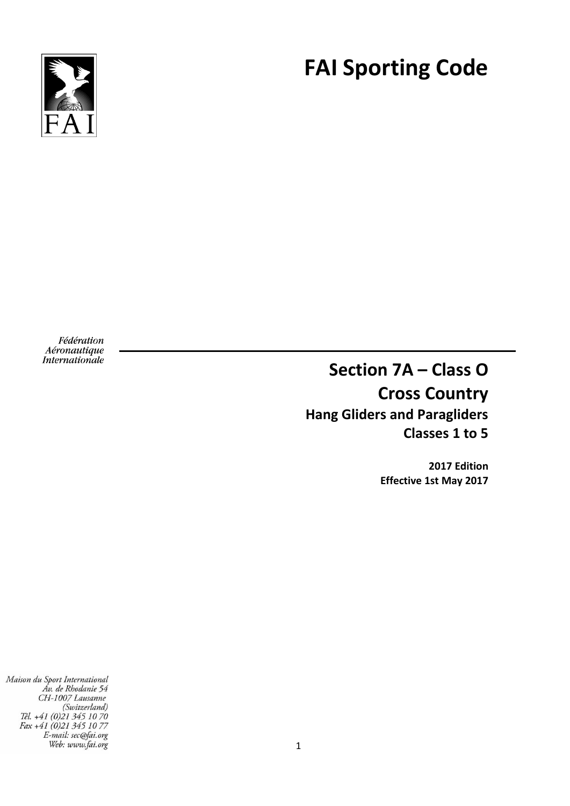

# **FAI Sporting Code**

Fédération Aéronautique Internationale

**Section 7A – Class O Cross Country Hang Gliders and Paragliders Classes 1 to 5**

> **2017 Edition Effective 1st May 2017**

Maison du Sport International Áv. de Rhodanie 54 CH-1007 Lausanne (Switzerland)<br>(Switzerland)<br>Tél. +41 (0)21 345 10 70<br>Fax +41 (0)21 345 10 77<br>E-mail: sec@fai.org Web: www.fai.org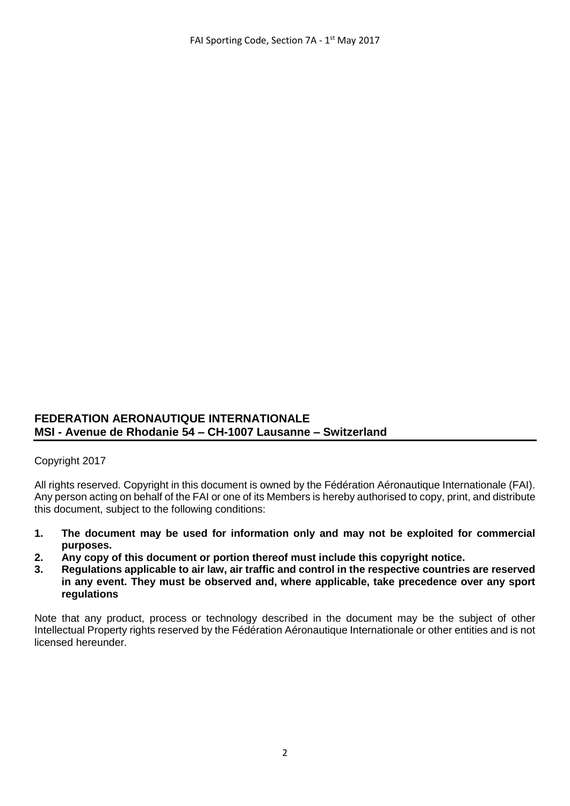#### **FEDERATION AERONAUTIQUE INTERNATIONALE MSI - Avenue de Rhodanie 54 – CH-1007 Lausanne – Switzerland**

#### Copyright 2017

All rights reserved. Copyright in this document is owned by the Fédération Aéronautique Internationale (FAI). Any person acting on behalf of the FAI or one of its Members is hereby authorised to copy, print, and distribute this document, subject to the following conditions:

- **1. The document may be used for information only and may not be exploited for commercial purposes.**
- **2. Any copy of this document or portion thereof must include this copyright notice.**
- **3. Regulations applicable to air law, air traffic and control in the respective countries are reserved in any event. They must be observed and, where applicable, take precedence over any sport regulations**

Note that any product, process or technology described in the document may be the subject of other Intellectual Property rights reserved by the Fédération Aéronautique Internationale or other entities and is not licensed hereunder.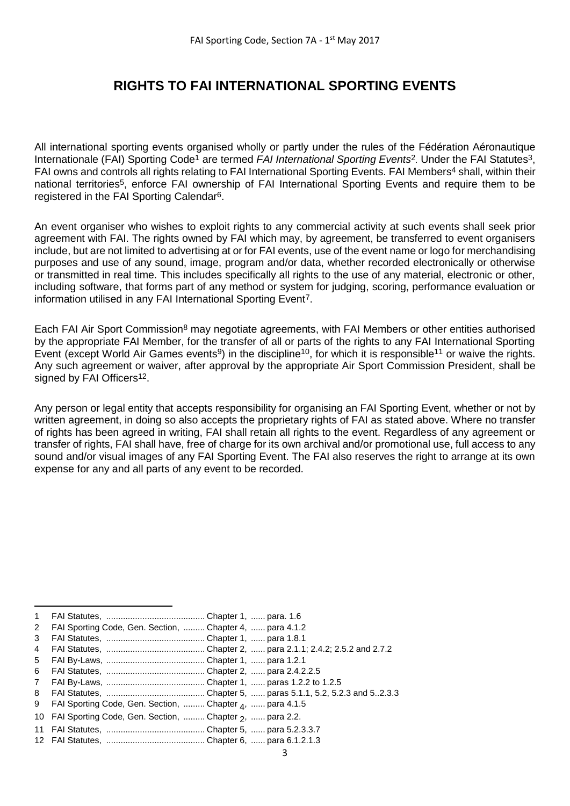## **RIGHTS TO FAI INTERNATIONAL SPORTING EVENTS**

All international sporting events organised wholly or partly under the rules of the Fédération Aéronautique Internationale (FAI) Sporting Code<sup>1</sup> are termed *FAI International Sporting Events*<sup>2</sup>. Under the FAI Statutes<sup>3</sup>, FAI owns and controls all rights relating to FAI International Sporting Events. FAI Members<sup>4</sup> shall, within their national territories<sup>5</sup>, enforce FAI ownership of FAI International Sporting Events and require them to be registered in the FAI Sporting Calendar6.

An event organiser who wishes to exploit rights to any commercial activity at such events shall seek prior agreement with FAI. The rights owned by FAI which may, by agreement, be transferred to event organisers include, but are not limited to advertising at or for FAI events, use of the event name or logo for merchandising purposes and use of any sound, image, program and/or data, whether recorded electronically or otherwise or transmitted in real time. This includes specifically all rights to the use of any material, electronic or other, including software, that forms part of any method or system for judging, scoring, performance evaluation or information utilised in any FAI International Sporting Event7.

Each FAI Air Sport Commission<sup>8</sup> may negotiate agreements, with FAI Members or other entities authorised by the appropriate FAI Member, for the transfer of all or parts of the rights to any FAI International Sporting Event (except World Air Games events<sup>9</sup>) in the discipline<sup>10</sup>, for which it is responsible<sup>11</sup> or waive the rights. Any such agreement or waiver, after approval by the appropriate Air Sport Commission President, shall be signed by FAI Officers<sup>12</sup>.

Any person or legal entity that accepts responsibility for organising an FAI Sporting Event, whether or not by written agreement, in doing so also accepts the proprietary rights of FAI as stated above. Where no transfer of rights has been agreed in writing, FAI shall retain all rights to the event. Regardless of any agreement or transfer of rights, FAI shall have, free of charge for its own archival and/or promotional use, full access to any sound and/or visual images of any FAI Sporting Event. The FAI also reserves the right to arrange at its own expense for any and all parts of any event to be recorded.

**.** 

<sup>1</sup> FAI Statutes, ......................................... Chapter 1, ...... para. 1.6

<sup>2</sup> FAI Sporting Code, Gen. Section, ......... Chapter 4, ...... para 4.1.2

<sup>3</sup> FAI Statutes, ......................................... Chapter 1, ...... para 1.8.1

<sup>4</sup> FAI Statutes, ......................................... Chapter 2, ...... para 2.1.1; 2.4.2; 2.5.2 and 2.7.2

<sup>5</sup> FAI By-Laws, ......................................... Chapter 1, ...... para 1.2.1

<sup>6</sup> FAI Statutes, ......................................... Chapter 2, ...... para 2.4.2.2.5

<sup>7</sup> FAI By-Laws, ......................................... Chapter 1, ...... paras 1.2.2 to 1.2.5

<sup>8</sup> FAI Statutes, ......................................... Chapter 5, ...... paras 5.1.1, 5.2, 5.2.3 and 5..2.3.3

<sup>9</sup> FAI Sporting Code, Gen. Section, ……… Chapter <sub>4</sub>, …… para 4.1.5

<sup>10</sup> FAI Sporting Code, Gen. Section, ......... Chapter 2, ...... para 2.2.

<sup>11</sup> FAI Statutes, ......................................... Chapter 5, ...... para 5.2.3.3.7

<sup>12</sup> FAI Statutes, ......................................... Chapter 6, ...... para 6.1.2.1.3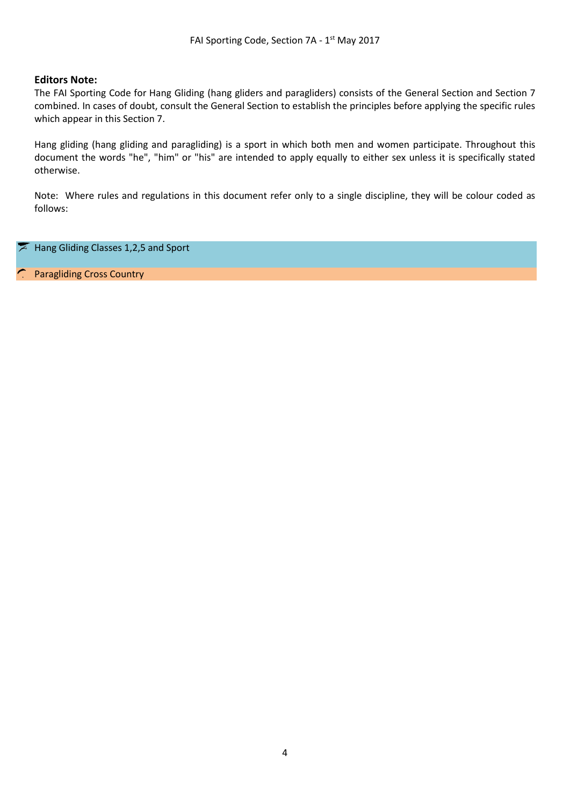#### **Editors Note:**

The FAI Sporting Code for Hang Gliding (hang gliders and paragliders) consists of the General Section and Section 7 combined. In cases of doubt, consult the General Section to establish the principles before applying the specific rules which appear in this Section 7.

Hang gliding (hang gliding and paragliding) is a sport in which both men and women participate. Throughout this document the words "he", "him" or "his" are intended to apply equally to either sex unless it is specifically stated otherwise.

Note: Where rules and regulations in this document refer only to a single discipline, they will be colour coded as follows:

Hang Gliding Classes 1,2,5 and Sport

Paragliding Cross Country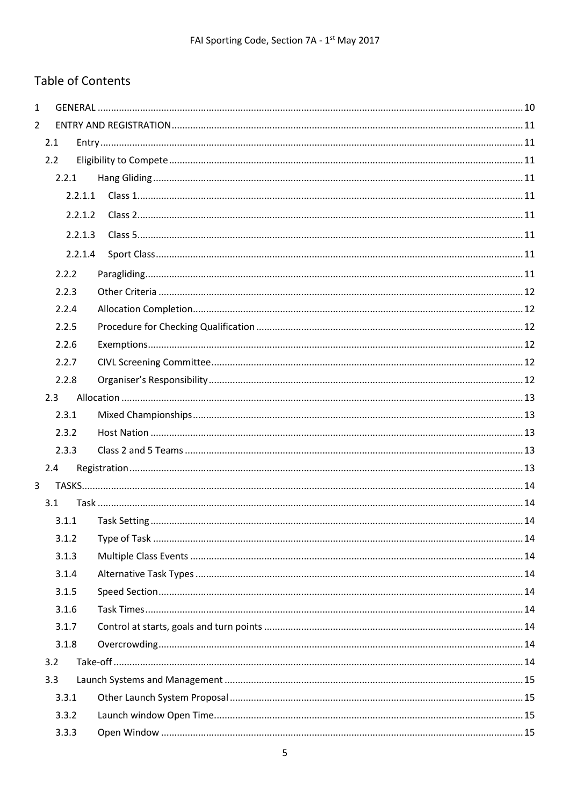## **Table of Contents**

| $\mathbf{1}$   |       |         |  |
|----------------|-------|---------|--|
| $\overline{2}$ |       |         |  |
|                | 2.1   |         |  |
|                | 2.2   |         |  |
|                | 2.2.1 |         |  |
|                |       | 2.2.1.1 |  |
|                |       | 2.2.1.2 |  |
|                |       | 2.2.1.3 |  |
|                |       | 2.2.1.4 |  |
|                | 2.2.2 |         |  |
|                | 2.2.3 |         |  |
|                | 2.2.4 |         |  |
|                | 2.2.5 |         |  |
|                | 2.2.6 |         |  |
|                | 2.2.7 |         |  |
|                | 2.2.8 |         |  |
|                | 2.3   |         |  |
|                | 2.3.1 |         |  |
|                | 2.3.2 |         |  |
|                | 2.3.3 |         |  |
|                | 2.4   |         |  |
| 3 <sup>7</sup> |       |         |  |
|                | 3.1   |         |  |
|                | 3.1.1 |         |  |
|                | 3.1.2 |         |  |
|                | 3.1.3 |         |  |
|                | 3.1.4 |         |  |
|                | 3.1.5 |         |  |
|                | 3.1.6 |         |  |
|                | 3.1.7 |         |  |
|                | 3.1.8 |         |  |
|                | 3.2   |         |  |
|                | 3.3   |         |  |
|                | 3.3.1 |         |  |
|                | 3.3.2 |         |  |
|                | 3.3.3 |         |  |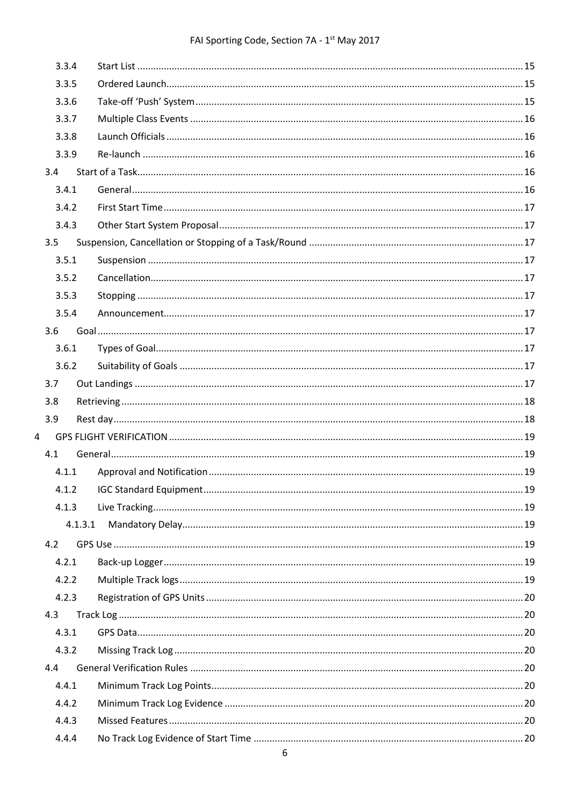|                | 3.3.4 |         |  |
|----------------|-------|---------|--|
|                | 3.3.5 |         |  |
|                | 3.3.6 |         |  |
|                | 3.3.7 |         |  |
|                | 3.3.8 |         |  |
|                | 3.3.9 |         |  |
|                | 3.4   |         |  |
|                | 3.4.1 |         |  |
|                | 3.4.2 |         |  |
|                | 3.4.3 |         |  |
|                | 3.5   |         |  |
|                | 3.5.1 |         |  |
|                | 3.5.2 |         |  |
|                | 3.5.3 |         |  |
|                | 3.5.4 |         |  |
|                | 3.6   |         |  |
|                | 3.6.1 |         |  |
|                | 3.6.2 |         |  |
|                | 3.7   |         |  |
|                | 3.8   |         |  |
|                | 3.9   |         |  |
| $\overline{4}$ |       |         |  |
|                | 4.1   |         |  |
|                | 4.1.1 |         |  |
|                |       |         |  |
|                | 4.1.3 |         |  |
|                |       | 4.1.3.1 |  |
|                | 4.2   |         |  |
|                | 4.2.1 |         |  |
|                | 4.2.2 |         |  |
|                | 4.2.3 |         |  |
|                | 4.3   |         |  |
|                | 4.3.1 |         |  |
|                | 4.3.2 |         |  |
|                | 4.4   |         |  |
|                | 4.4.1 |         |  |
|                | 4.4.2 |         |  |
|                | 4.4.3 |         |  |
|                | 4.4.4 |         |  |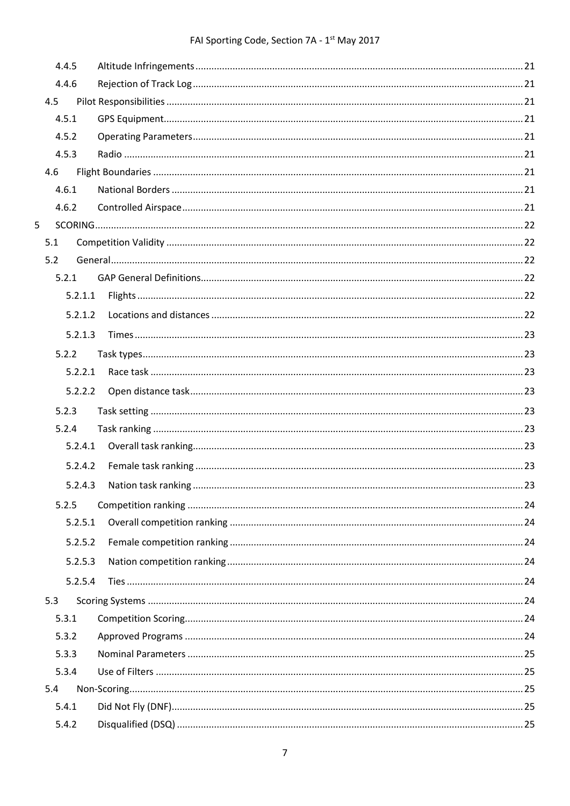| 4.4.5   |  |
|---------|--|
| 4.4.6   |  |
| 4.5     |  |
| 4.5.1   |  |
| 4.5.2   |  |
| 4.5.3   |  |
| 4.6     |  |
| 4.6.1   |  |
| 4.6.2   |  |
| 5       |  |
| 5.1     |  |
| 5.2     |  |
| 5.2.1   |  |
| 5.2.1.1 |  |
| 5.2.1.2 |  |
| 5.2.1.3 |  |
| 5.2.2   |  |
| 5.2.2.1 |  |
| 5.2.2.2 |  |
| 5.2.3   |  |
| 5.2.4   |  |
| 5.2.4.1 |  |
| 5.2.4.2 |  |
| 5.2.4.3 |  |
|         |  |
| 5.2.5   |  |
| 5.2.5.1 |  |
| 5.2.5.2 |  |
| 5.2.5.3 |  |
| 5.2.5.4 |  |
| 5.3     |  |
| 5.3.1   |  |
| 5.3.2   |  |
| 5.3.3   |  |
| 5.3.4   |  |
| 5.4     |  |
| 5.4.1   |  |
| 5.4.2   |  |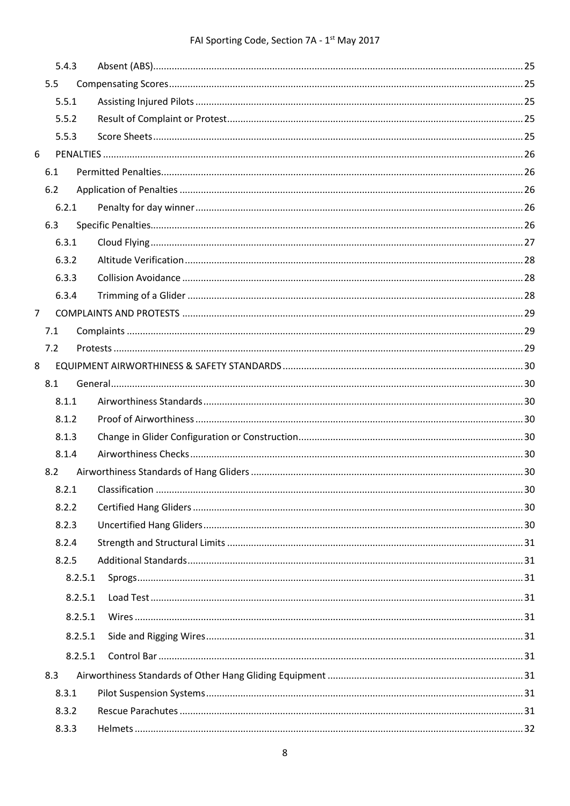|   | 5.4.3 |         |  |
|---|-------|---------|--|
|   | 5.5   |         |  |
|   | 5.5.1 |         |  |
|   | 5.5.2 |         |  |
|   | 5.5.3 |         |  |
| 6 |       |         |  |
|   | 6.1   |         |  |
|   | 6.2   |         |  |
|   | 6.2.1 |         |  |
|   | 6.3   |         |  |
|   | 6.3.1 |         |  |
|   | 6.3.2 |         |  |
|   | 6.3.3 |         |  |
|   | 6.3.4 |         |  |
| 7 |       |         |  |
|   | 7.1   |         |  |
|   | 7.2   |         |  |
| 8 |       |         |  |
|   | 8.1   |         |  |
|   | 8.1.1 |         |  |
|   | 8.1.2 |         |  |
|   | 8.1.3 |         |  |
|   | 8.1.4 |         |  |
|   | 8.2   |         |  |
|   |       |         |  |
|   | 8.2.2 |         |  |
|   | 8.2.3 |         |  |
|   | 8.2.4 |         |  |
|   | 8.2.5 |         |  |
|   |       | 8.2.5.1 |  |
|   |       | 8.2.5.1 |  |
|   |       | 8.2.5.1 |  |
|   |       | 8.2.5.1 |  |
|   |       | 8.2.5.1 |  |
|   | 8.3   |         |  |
|   | 8.3.1 |         |  |
|   | 8.3.2 |         |  |
|   | 8.3.3 |         |  |
|   |       |         |  |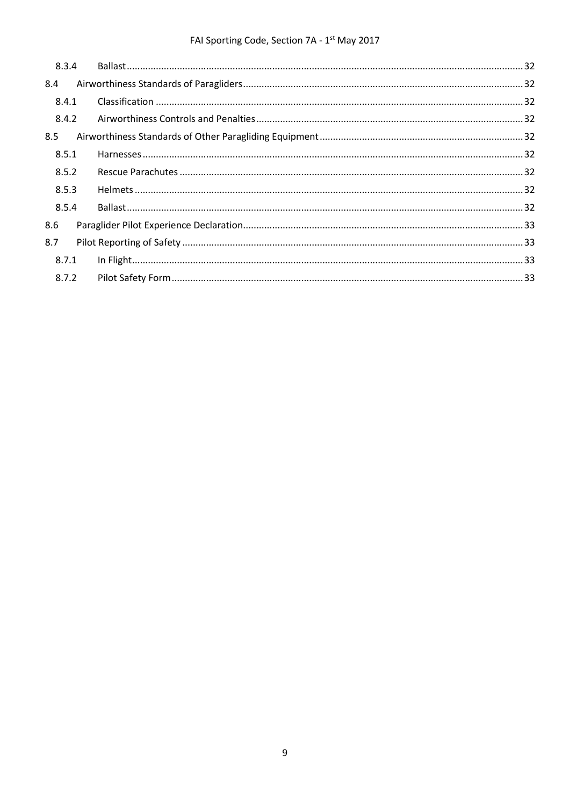| 8.3.4 |  |
|-------|--|
| 8.4   |  |
| 8.4.1 |  |
| 8.4.2 |  |
| 8.5   |  |
| 8.5.1 |  |
| 8.5.2 |  |
| 8.5.3 |  |
| 8.5.4 |  |
| 8.6   |  |
| 8.7   |  |
| 8.7.1 |  |
| 8.7.2 |  |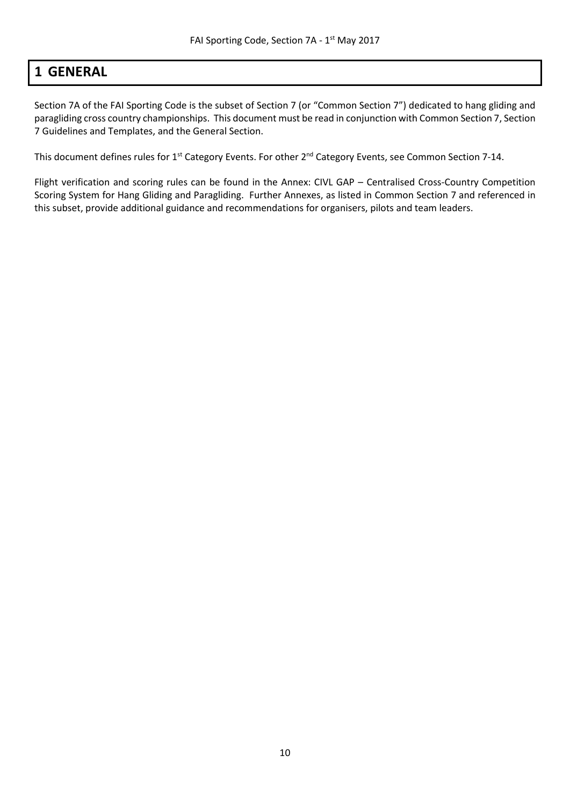## <span id="page-9-0"></span>**1 GENERAL**

Section 7A of the FAI Sporting Code is the subset of Section 7 (or "Common Section 7") dedicated to hang gliding and paragliding cross country championships. This document must be read in conjunction with Common Section 7, Section 7 Guidelines and Templates, and the General Section.

This document defines rules for 1<sup>st</sup> Category Events. For other 2<sup>nd</sup> Category Events, see Common Section 7-14.

Flight verification and scoring rules can be found in the Annex: CIVL GAP – Centralised Cross-Country Competition Scoring System for Hang Gliding and Paragliding. Further Annexes, as listed in Common Section 7 and referenced in this subset, provide additional guidance and recommendations for organisers, pilots and team leaders.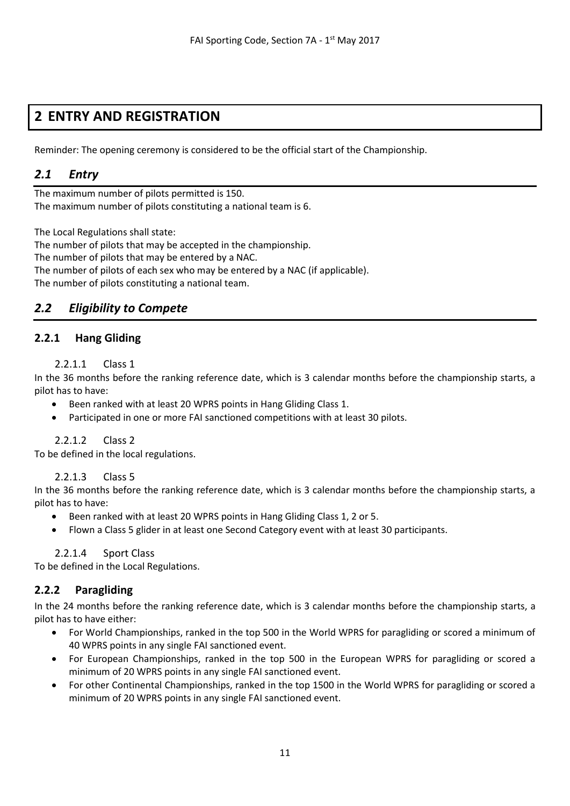## <span id="page-10-0"></span>**2 ENTRY AND REGISTRATION**

Reminder: The opening ceremony is considered to be the official start of the Championship.

## <span id="page-10-1"></span>*2.1 Entry*

The maximum number of pilots permitted is 150. The maximum number of pilots constituting a national team is 6.

The Local Regulations shall state:

The number of pilots that may be accepted in the championship. The number of pilots that may be entered by a NAC. The number of pilots of each sex who may be entered by a NAC (if applicable). The number of pilots constituting a national team.

## <span id="page-10-2"></span>*2.2 Eligibility to Compete*

### <span id="page-10-4"></span><span id="page-10-3"></span>**2.2.1 Hang Gliding**

#### 2.2.1.1 Class 1

In the 36 months before the ranking reference date, which is 3 calendar months before the championship starts, a pilot has to have:

- Been ranked with at least 20 WPRS points in Hang Gliding Class 1.
- Participated in one or more FAI sanctioned competitions with at least 30 pilots.

#### <span id="page-10-5"></span>2.2.1.2 Class 2

<span id="page-10-6"></span>To be defined in the local regulations.

#### 2.2.1.3 Class 5

In the 36 months before the ranking reference date, which is 3 calendar months before the championship starts, a pilot has to have:

- Been ranked with at least 20 WPRS points in Hang Gliding Class 1, 2 or 5.
- Flown a Class 5 glider in at least one Second Category event with at least 30 participants.

#### 2.2.1.4 Sport Class

<span id="page-10-7"></span>To be defined in the Local Regulations.

## <span id="page-10-8"></span>**2.2.2 Paragliding**

In the 24 months before the ranking reference date, which is 3 calendar months before the championship starts, a pilot has to have either:

- For World Championships, ranked in the top 500 in the World WPRS for paragliding or scored a minimum of 40 WPRS points in any single FAI sanctioned event.
- For European Championships, ranked in the top 500 in the European WPRS for paragliding or scored a minimum of 20 WPRS points in any single FAI sanctioned event.
- For other Continental Championships, ranked in the top 1500 in the World WPRS for paragliding or scored a minimum of 20 WPRS points in any single FAI sanctioned event.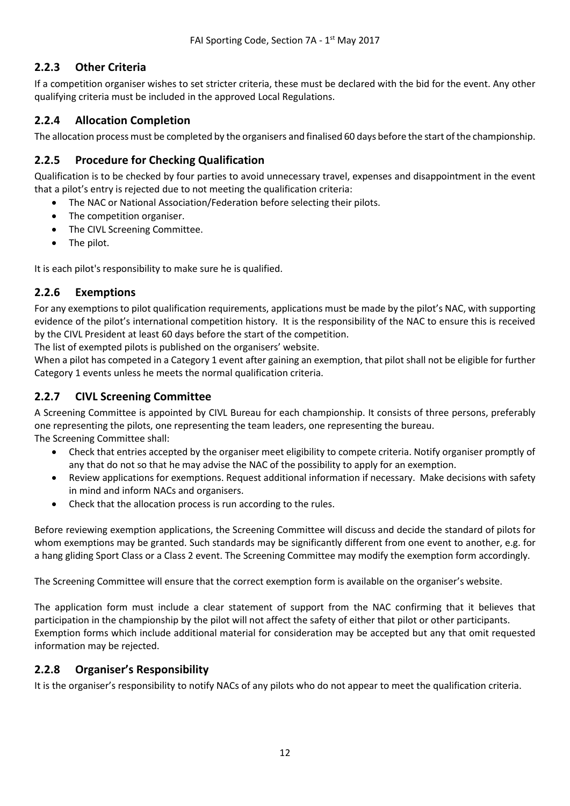## <span id="page-11-0"></span>**2.2.3 Other Criteria**

If a competition organiser wishes to set stricter criteria, these must be declared with the bid for the event. Any other qualifying criteria must be included in the approved Local Regulations.

### <span id="page-11-1"></span>**2.2.4 Allocation Completion**

The allocation process must be completed by the organisers and finalised 60 days before the start of the championship.

## <span id="page-11-2"></span>**2.2.5 Procedure for Checking Qualification**

Qualification is to be checked by four parties to avoid unnecessary travel, expenses and disappointment in the event that a pilot's entry is rejected due to not meeting the qualification criteria:

- The NAC or National Association/Federation before selecting their pilots.
- The competition organiser.
- The CIVL Screening Committee.
- The pilot.

It is each pilot's responsibility to make sure he is qualified.

### <span id="page-11-3"></span>**2.2.6 Exemptions**

For any exemptions to pilot qualification requirements, applications must be made by the pilot's NAC, with supporting evidence of the pilot's international competition history. It is the responsibility of the NAC to ensure this is received by the CIVL President at least 60 days before the start of the competition.

The list of exempted pilots is published on the organisers' website.

When a pilot has competed in a Category 1 event after gaining an exemption, that pilot shall not be eligible for further Category 1 events unless he meets the normal qualification criteria.

## <span id="page-11-4"></span>**2.2.7 CIVL Screening Committee**

A Screening Committee is appointed by CIVL Bureau for each championship. It consists of three persons, preferably one representing the pilots, one representing the team leaders, one representing the bureau. The Screening Committee shall:

- Check that entries accepted by the organiser meet eligibility to compete criteria. Notify organiser promptly of any that do not so that he may advise the NAC of the possibility to apply for an exemption.
- Review applications for exemptions. Request additional information if necessary. Make decisions with safety in mind and inform NACs and organisers.
- Check that the allocation process is run according to the rules.

Before reviewing exemption applications, the Screening Committee will discuss and decide the standard of pilots for whom exemptions may be granted. Such standards may be significantly different from one event to another, e.g. for a hang gliding Sport Class or a Class 2 event. The Screening Committee may modify the exemption form accordingly.

The Screening Committee will ensure that the correct exemption form is available on the organiser's website.

The application form must include a clear statement of support from the NAC confirming that it believes that participation in the championship by the pilot will not affect the safety of either that pilot or other participants. Exemption forms which include additional material for consideration may be accepted but any that omit requested information may be rejected.

#### <span id="page-11-5"></span>**2.2.8 Organiser's Responsibility**

It is the organiser's responsibility to notify NACs of any pilots who do not appear to meet the qualification criteria.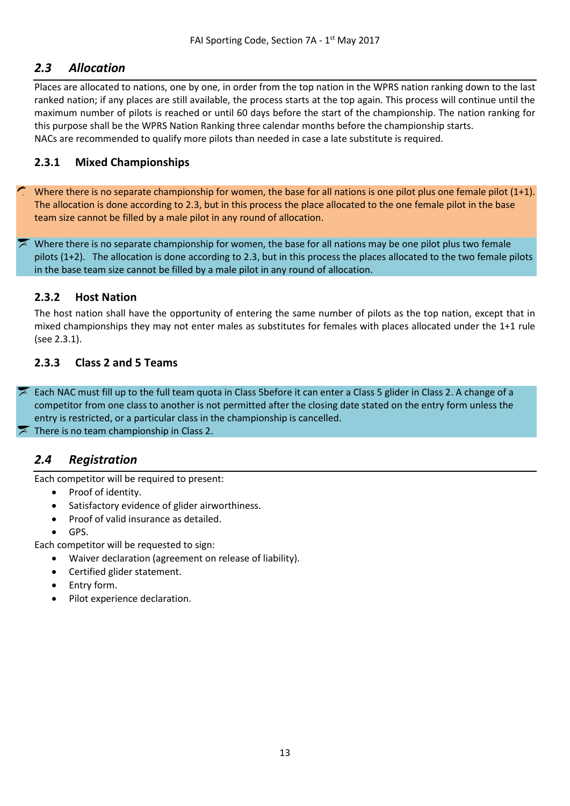## <span id="page-12-0"></span>*2.3 Allocation*

Places are allocated to nations, one by one, in order from the top nation in the WPRS nation ranking down to the last ranked nation; if any places are still available, the process starts at the top again. This process will continue until the maximum number of pilots is reached or until 60 days before the start of the championship. The nation ranking for this purpose shall be the WPRS Nation Ranking three calendar months before the championship starts. NACs are recommended to qualify more pilots than needed in case a late substitute is required.

## <span id="page-12-1"></span>**2.3.1 Mixed Championships**

Where there is no separate championship for women, the base for all nations is one pilot plus one female pilot (1+1). The allocation is done according to 2.3, but in this process the place allocated to the one female pilot in the base team size cannot be filled by a male pilot in any round of allocation.

Where there is no separate championship for women, the base for all nations may be one pilot plus two female pilots (1+2). The allocation is done according to 2.3, but in this process the places allocated to the two female pilots in the base team size cannot be filled by a male pilot in any round of allocation.

#### <span id="page-12-2"></span>**2.3.2 Host Nation**

The host nation shall have the opportunity of entering the same number of pilots as the top nation, except that in mixed championships they may not enter males as substitutes for females with places allocated under the 1+1 rule (see 2.3.1).

## <span id="page-12-3"></span>**2.3.3 Class 2 and 5 Teams**

Each NAC must fill up to the full team quota in Class 5before it can enter a Class 5 glider in Class 2. A change of a competitor from one class to another is not permitted after the closing date stated on the entry form unless the entry is restricted, or a particular class in the championship is cancelled.

There is no team championship in Class 2.

## <span id="page-12-4"></span>*2.4 Registration*

Each competitor will be required to present:

- Proof of identity.
- Satisfactory evidence of glider airworthiness.
- Proof of valid insurance as detailed.
- GPS.

Each competitor will be requested to sign:

- Waiver declaration (agreement on release of liability).
- Certified glider statement.
- Entry form.
- Pilot experience declaration.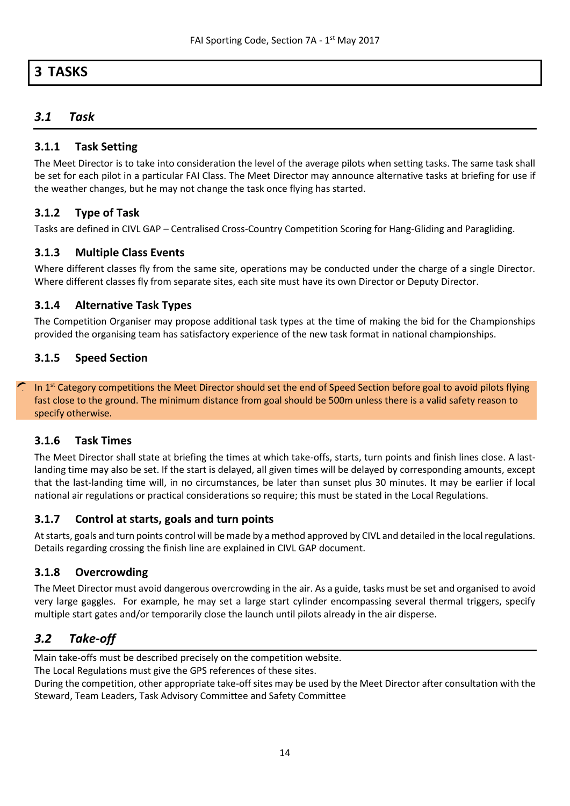## <span id="page-13-0"></span>**3 TASKS**

## <span id="page-13-1"></span>*3.1 Task*

## <span id="page-13-2"></span>**3.1.1 Task Setting**

The Meet Director is to take into consideration the level of the average pilots when setting tasks. The same task shall be set for each pilot in a particular FAI Class. The Meet Director may announce alternative tasks at briefing for use if the weather changes, but he may not change the task once flying has started.

## <span id="page-13-3"></span>**3.1.2 Type of Task**

Tasks are defined in CIVL GAP – Centralised Cross-Country Competition Scoring for Hang-Gliding and Paragliding.

### <span id="page-13-4"></span>**3.1.3 Multiple Class Events**

Where different classes fly from the same site, operations may be conducted under the charge of a single Director. Where different classes fly from separate sites, each site must have its own Director or Deputy Director.

### <span id="page-13-5"></span>**3.1.4 Alternative Task Types**

The Competition Organiser may propose additional task types at the time of making the bid for the Championships provided the organising team has satisfactory experience of the new task format in national championships.

### <span id="page-13-6"></span>**3.1.5 Speed Section**

In 1<sup>st</sup> Category competitions the Meet Director should set the end of Speed Section before goal to avoid pilots flying fast close to the ground. The minimum distance from goal should be 500m unless there is a valid safety reason to specify otherwise.

#### <span id="page-13-7"></span>**3.1.6 Task Times**

The Meet Director shall state at briefing the times at which take-offs, starts, turn points and finish lines close. A lastlanding time may also be set. If the start is delayed, all given times will be delayed by corresponding amounts, except that the last-landing time will, in no circumstances, be later than sunset plus 30 minutes. It may be earlier if local national air regulations or practical considerations so require; this must be stated in the Local Regulations.

#### <span id="page-13-8"></span>**3.1.7 Control at starts, goals and turn points**

At starts, goals and turn points control will be made by a method approved by CIVL and detailed in the local regulations. Details regarding crossing the finish line are explained in CIVL GAP document.

#### <span id="page-13-9"></span>**3.1.8 Overcrowding**

The Meet Director must avoid dangerous overcrowding in the air. As a guide, tasks must be set and organised to avoid very large gaggles. For example, he may set a large start cylinder encompassing several thermal triggers, specify multiple start gates and/or temporarily close the launch until pilots already in the air disperse.

## <span id="page-13-10"></span>*3.2 Take-off*

Main take-offs must be described precisely on the competition website.

The Local Regulations must give the GPS references of these sites.

During the competition, other appropriate take-off sites may be used by the Meet Director after consultation with the Steward, Team Leaders, Task Advisory Committee and Safety Committee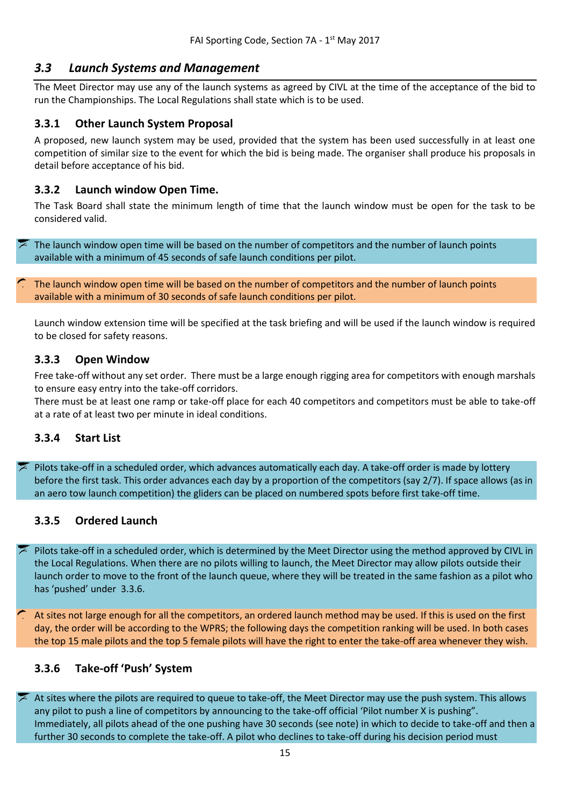## <span id="page-14-0"></span>*3.3 Launch Systems and Management*

The Meet Director may use any of the launch systems as agreed by CIVL at the time of the acceptance of the bid to run the Championships. The Local Regulations shall state which is to be used.

### <span id="page-14-1"></span>**3.3.1 Other Launch System Proposal**

A proposed, new launch system may be used, provided that the system has been used successfully in at least one competition of similar size to the event for which the bid is being made. The organiser shall produce his proposals in detail before acceptance of his bid.

#### <span id="page-14-2"></span>**3.3.2 Launch window Open Time.**

The Task Board shall state the minimum length of time that the launch window must be open for the task to be considered valid.

The launch window open time will be based on the number of competitors and the number of launch points available with a minimum of 45 seconds of safe launch conditions per pilot.

The launch window open time will be based on the number of competitors and the number of launch points available with a minimum of 30 seconds of safe launch conditions per pilot.

Launch window extension time will be specified at the task briefing and will be used if the launch window is required to be closed for safety reasons.

#### <span id="page-14-3"></span>**3.3.3 Open Window**

Free take-off without any set order. There must be a large enough rigging area for competitors with enough marshals to ensure easy entry into the take-off corridors.

There must be at least one ramp or take-off place for each 40 competitors and competitors must be able to take-off at a rate of at least two per minute in ideal conditions.

#### <span id="page-14-4"></span>**3.3.4 Start List**

Pilots take-off in a scheduled order, which advances automatically each day. A take-off order is made by lottery before the first task. This order advances each day by a proportion of the competitors (say 2/7). If space allows (as in an aero tow launch competition) the gliders can be placed on numbered spots before first take-off time.

#### <span id="page-14-5"></span>**3.3.5 Ordered Launch**

Pilots take-off in a scheduled order, which is determined by the Meet Director using the method approved by CIVL in the Local Regulations. When there are no pilots willing to launch, the Meet Director may allow pilots outside their launch order to move to the front of the launch queue, where they will be treated in the same fashion as a pilot who has 'pushed' under 3.3.6.

At sites not large enough for all the competitors, an ordered launch method may be used. If this is used on the first day, the order will be according to the WPRS; the following days the competition ranking will be used. In both cases the top 15 male pilots and the top 5 female pilots will have the right to enter the take-off area whenever they wish.

## <span id="page-14-6"></span>**3.3.6 Take-off 'Push' System**

At sites where the pilots are required to queue to take-off, the Meet Director may use the push system. This allows any pilot to push a line of competitors by announcing to the take-off official 'Pilot number X is pushing". Immediately, all pilots ahead of the one pushing have 30 seconds (see note) in which to decide to take-off and then a further 30 seconds to complete the take-off. A pilot who declines to take-off during his decision period must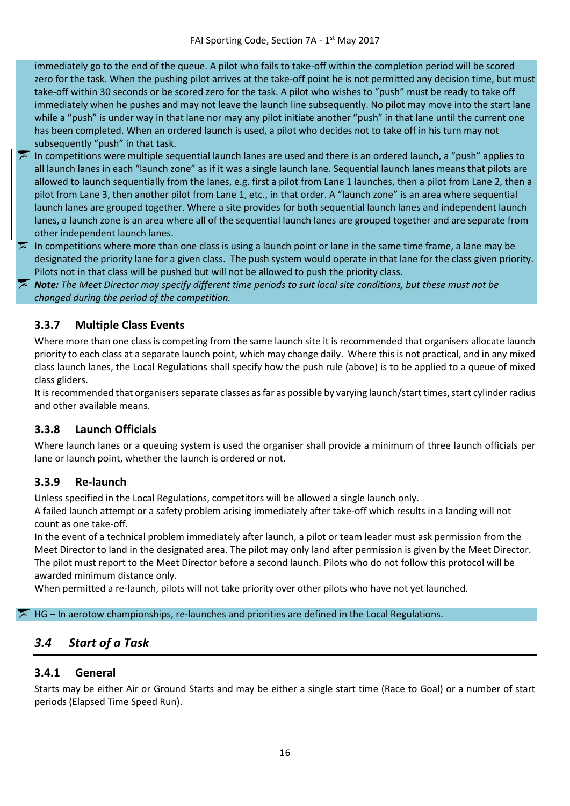immediately go to the end of the queue. A pilot who fails to take-off within the completion period will be scored zero for the task. When the pushing pilot arrives at the take-off point he is not permitted any decision time, but must take-off within 30 seconds or be scored zero for the task. A pilot who wishes to "push" must be ready to take off immediately when he pushes and may not leave the launch line subsequently. No pilot may move into the start lane while a "push" is under way in that lane nor may any pilot initiate another "push" in that lane until the current one has been completed. When an ordered launch is used, a pilot who decides not to take off in his turn may not subsequently "push" in that task.

- In competitions were multiple sequential launch lanes are used and there is an ordered launch, a "push" applies to all launch lanes in each "launch zone" as if it was a single launch lane. Sequential launch lanes means that pilots are allowed to launch sequentially from the lanes, e.g. first a pilot from Lane 1 launches, then a pilot from Lane 2, then a pilot from Lane 3, then another pilot from Lane 1, etc., in that order. A "launch zone" is an area where sequential launch lanes are grouped together. Where a site provides for both sequential launch lanes and independent launch lanes, a launch zone is an area where all of the sequential launch lanes are grouped together and are separate from other independent launch lanes.
- In competitions where more than one class is using a launch point or lane in the same time frame, a lane may be designated the priority lane for a given class. The push system would operate in that lane for the class given priority. Pilots not in that class will be pushed but will not be allowed to push the priority class.
- *Note: The Meet Director may specify different time periods to suit local site conditions, but these must not be changed during the period of the competition.*

## <span id="page-15-0"></span>**3.3.7 Multiple Class Events**

Where more than one class is competing from the same launch site it is recommended that organisers allocate launch priority to each class at a separate launch point, which may change daily. Where this is not practical, and in any mixed class launch lanes, the Local Regulations shall specify how the push rule (above) is to be applied to a queue of mixed class gliders.

It is recommended that organisers separate classes as far as possible by varying launch/start times, start cylinder radius and other available means.

## <span id="page-15-1"></span>**3.3.8 Launch Officials**

Where launch lanes or a queuing system is used the organiser shall provide a minimum of three launch officials per lane or launch point, whether the launch is ordered or not.

## <span id="page-15-2"></span>**3.3.9 Re-launch**

Unless specified in the Local Regulations, competitors will be allowed a single launch only.

A failed launch attempt or a safety problem arising immediately after take-off which results in a landing will not count as one take-off.

In the event of a technical problem immediately after launch, a pilot or team leader must ask permission from the Meet Director to land in the designated area. The pilot may only land after permission is given by the Meet Director. The pilot must report to the Meet Director before a second launch. Pilots who do not follow this protocol will be awarded minimum distance only.

When permitted a re-launch, pilots will not take priority over other pilots who have not yet launched.

HG – In aerotow championships, re-launches and priorities are defined in the Local Regulations.

## <span id="page-15-3"></span>*3.4 Start of a Task*

## <span id="page-15-4"></span>**3.4.1 General**

Starts may be either Air or Ground Starts and may be either a single start time (Race to Goal) or a number of start periods (Elapsed Time Speed Run).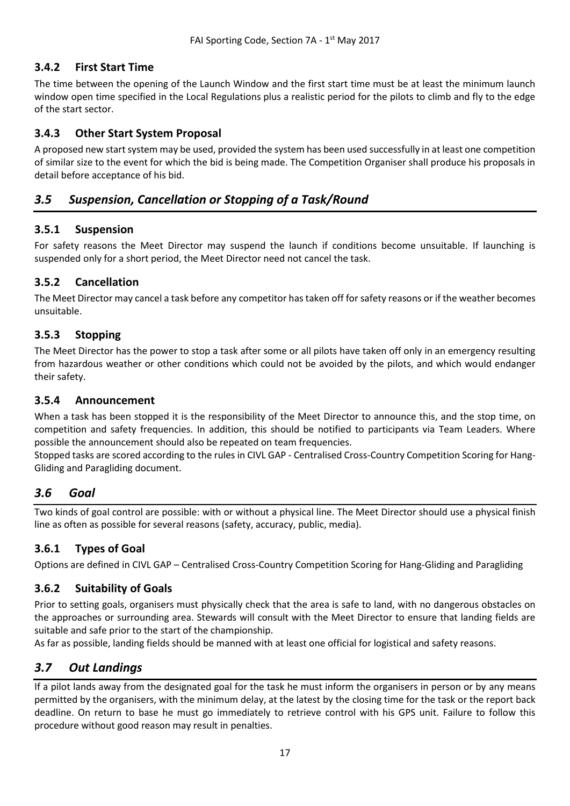## <span id="page-16-0"></span>**3.4.2 First Start Time**

The time between the opening of the Launch Window and the first start time must be at least the minimum launch window open time specified in the Local Regulations plus a realistic period for the pilots to climb and fly to the edge of the start sector.

## <span id="page-16-1"></span>**3.4.3 Other Start System Proposal**

A proposed new start system may be used, provided the system has been used successfully in at least one competition of similar size to the event for which the bid is being made. The Competition Organiser shall produce his proposals in detail before acceptance of his bid.

## <span id="page-16-2"></span>*3.5 Suspension, Cancellation or Stopping of a Task/Round*

## <span id="page-16-3"></span>**3.5.1 Suspension**

For safety reasons the Meet Director may suspend the launch if conditions become unsuitable. If launching is suspended only for a short period, the Meet Director need not cancel the task.

## <span id="page-16-4"></span>**3.5.2 Cancellation**

The Meet Director may cancel a task before any competitor has taken off for safety reasons or if the weather becomes unsuitable.

## <span id="page-16-5"></span>**3.5.3 Stopping**

The Meet Director has the power to stop a task after some or all pilots have taken off only in an emergency resulting from hazardous weather or other conditions which could not be avoided by the pilots, and which would endanger their safety.

### <span id="page-16-6"></span>**3.5.4 Announcement**

When a task has been stopped it is the responsibility of the Meet Director to announce this, and the stop time, on competition and safety frequencies. In addition, this should be notified to participants via Team Leaders. Where possible the announcement should also be repeated on team frequencies.

Stopped tasks are scored according to the rules in CIVL GAP - Centralised Cross-Country Competition Scoring for Hang-Gliding and Paragliding document.

## <span id="page-16-7"></span>*3.6 Goal*

Two kinds of goal control are possible: with or without a physical line. The Meet Director should use a physical finish line as often as possible for several reasons (safety, accuracy, public, media).

## <span id="page-16-8"></span>**3.6.1 Types of Goal**

Options are defined in CIVL GAP – Centralised Cross-Country Competition Scoring for Hang-Gliding and Paragliding

## <span id="page-16-9"></span>**3.6.2 Suitability of Goals**

Prior to setting goals, organisers must physically check that the area is safe to land, with no dangerous obstacles on the approaches or surrounding area. Stewards will consult with the Meet Director to ensure that landing fields are suitable and safe prior to the start of the championship.

As far as possible, landing fields should be manned with at least one official for logistical and safety reasons.

## <span id="page-16-10"></span>*3.7 Out Landings*

If a pilot lands away from the designated goal for the task he must inform the organisers in person or by any means permitted by the organisers, with the minimum delay, at the latest by the closing time for the task or the report back deadline. On return to base he must go immediately to retrieve control with his GPS unit. Failure to follow this procedure without good reason may result in penalties.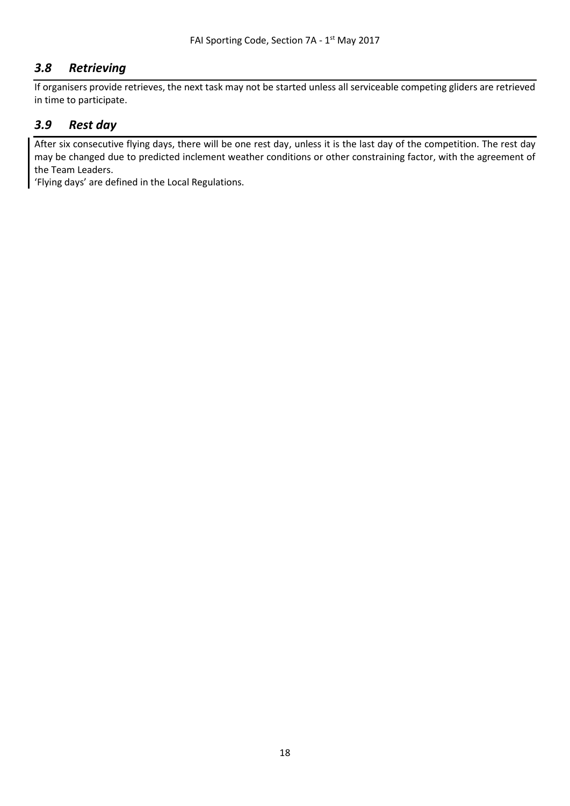## <span id="page-17-0"></span>*3.8 Retrieving*

If organisers provide retrieves, the next task may not be started unless all serviceable competing gliders are retrieved in time to participate.

## <span id="page-17-1"></span>*3.9 Rest day*

After six consecutive flying days, there will be one rest day, unless it is the last day of the competition. The rest day may be changed due to predicted inclement weather conditions or other constraining factor, with the agreement of the Team Leaders.

'Flying days' are defined in the Local Regulations.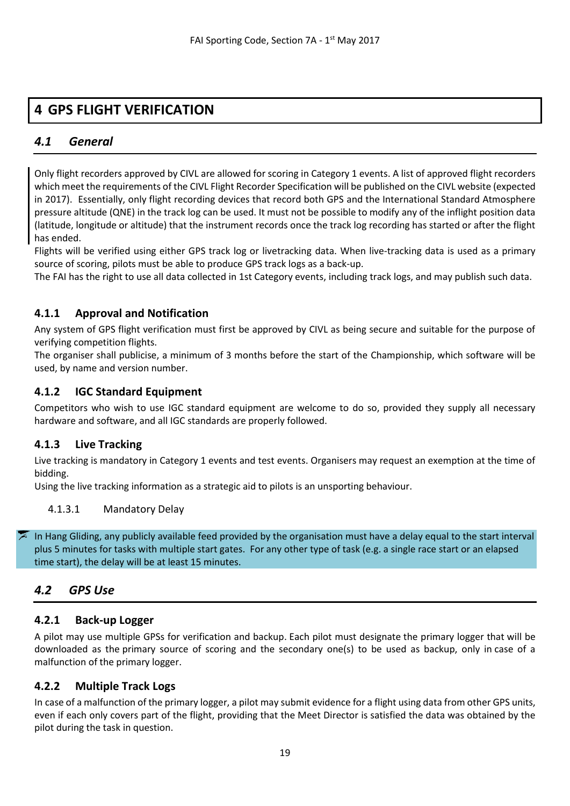## <span id="page-18-0"></span>**4 GPS FLIGHT VERIFICATION**

## <span id="page-18-1"></span>*4.1 General*

Only flight recorders approved by CIVL are allowed for scoring in Category 1 events. A list of approved flight recorders which meet the requirements of the CIVL Flight Recorder Specification will be published on the CIVL website (expected in 2017). Essentially, only flight recording devices that record both GPS and the International Standard Atmosphere pressure altitude (QNE) in the track log can be used. It must not be possible to modify any of the inflight position data (latitude, longitude or altitude) that the instrument records once the track log recording has started or after the flight has ended.

Flights will be verified using either GPS track log or livetracking data. When live-tracking data is used as a primary source of scoring, pilots must be able to produce GPS track logs as a back-up.

The FAI has the right to use all data collected in 1st Category events, including track logs, and may publish such data.

### <span id="page-18-2"></span>**4.1.1 Approval and Notification**

Any system of GPS flight verification must first be approved by CIVL as being secure and suitable for the purpose of verifying competition flights.

The organiser shall publicise, a minimum of 3 months before the start of the Championship, which software will be used, by name and version number.

### <span id="page-18-3"></span>**4.1.2 IGC Standard Equipment**

Competitors who wish to use IGC standard equipment are welcome to do so, provided they supply all necessary hardware and software, and all IGC standards are properly followed.

#### <span id="page-18-4"></span>**4.1.3 Live Tracking**

Live tracking is mandatory in Category 1 events and test events. Organisers may request an exemption at the time of bidding.

<span id="page-18-5"></span>Using the live tracking information as a strategic aid to pilots is an unsporting behaviour.

#### 4.1.3.1 Mandatory Delay

In Hang Gliding, any publicly available feed provided by the organisation must have a delay equal to the start interval plus 5 minutes for tasks with multiple start gates. For any other type of task (e.g. a single race start or an elapsed time start), the delay will be at least 15 minutes.

## <span id="page-18-6"></span>*4.2 GPS Use*

#### <span id="page-18-7"></span>**4.2.1 Back-up Logger**

A pilot may use multiple GPSs for verification and backup. Each pilot must designate the primary logger that will be downloaded as the primary source of scoring and the secondary one(s) to be used as backup, only in case of a malfunction of the primary logger.

#### <span id="page-18-8"></span>**4.2.2 Multiple Track Logs**

In case of a malfunction of the primary logger, a pilot may submit evidence for a flight using data from other GPS units, even if each only covers part of the flight, providing that the Meet Director is satisfied the data was obtained by the pilot during the task in question.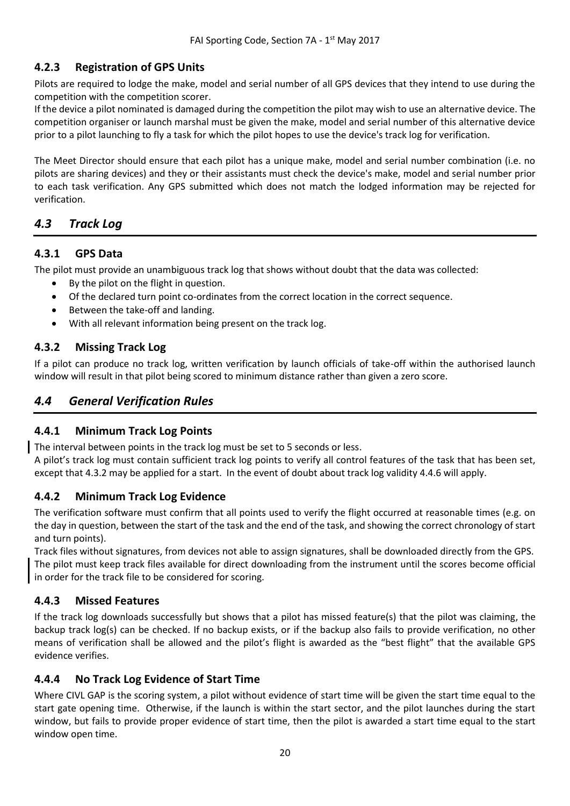## <span id="page-19-0"></span>**4.2.3 Registration of GPS Units**

Pilots are required to lodge the make, model and serial number of all GPS devices that they intend to use during the competition with the competition scorer.

If the device a pilot nominated is damaged during the competition the pilot may wish to use an alternative device. The competition organiser or launch marshal must be given the make, model and serial number of this alternative device prior to a pilot launching to fly a task for which the pilot hopes to use the device's track log for verification.

The Meet Director should ensure that each pilot has a unique make, model and serial number combination (i.e. no pilots are sharing devices) and they or their assistants must check the device's make, model and serial number prior to each task verification. Any GPS submitted which does not match the lodged information may be rejected for verification.

## <span id="page-19-1"></span>*4.3 Track Log*

#### <span id="page-19-2"></span>**4.3.1 GPS Data**

The pilot must provide an unambiguous track log that shows without doubt that the data was collected:

- By the pilot on the flight in question.
- Of the declared turn point co-ordinates from the correct location in the correct sequence.
- Between the take-off and landing.
- With all relevant information being present on the track log.

### <span id="page-19-3"></span>**4.3.2 Missing Track Log**

If a pilot can produce no track log, written verification by launch officials of take-off within the authorised launch window will result in that pilot being scored to minimum distance rather than given a zero score.

## <span id="page-19-4"></span>*4.4 General Verification Rules*

#### <span id="page-19-5"></span>**4.4.1 Minimum Track Log Points**

The interval between points in the track log must be set to 5 seconds or less.

A pilot's track log must contain sufficient track log points to verify all control features of the task that has been set, except that 4.3.2 may be applied for a start. In the event of doubt about track log validity 4.4.6 will apply.

#### <span id="page-19-6"></span>**4.4.2 Minimum Track Log Evidence**

The verification software must confirm that all points used to verify the flight occurred at reasonable times (e.g. on the day in question, between the start of the task and the end of the task, and showing the correct chronology of start and turn points).

Track files without signatures, from devices not able to assign signatures, shall be downloaded directly from the GPS. The pilot must keep track files available for direct downloading from the instrument until the scores become official in order for the track file to be considered for scoring.

#### <span id="page-19-7"></span>**4.4.3 Missed Features**

If the track log downloads successfully but shows that a pilot has missed feature(s) that the pilot was claiming, the backup track log(s) can be checked. If no backup exists, or if the backup also fails to provide verification, no other means of verification shall be allowed and the pilot's flight is awarded as the "best flight" that the available GPS evidence verifies.

#### <span id="page-19-8"></span>**4.4.4 No Track Log Evidence of Start Time**

Where CIVL GAP is the scoring system, a pilot without evidence of start time will be given the start time equal to the start gate opening time. Otherwise, if the launch is within the start sector, and the pilot launches during the start window, but fails to provide proper evidence of start time, then the pilot is awarded a start time equal to the start window open time.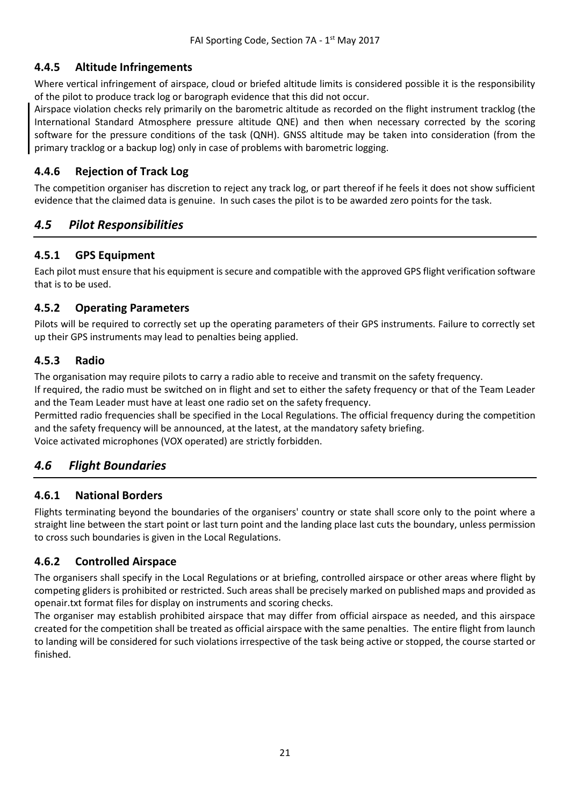## <span id="page-20-0"></span>**4.4.5 Altitude Infringements**

Where vertical infringement of airspace, cloud or briefed altitude limits is considered possible it is the responsibility of the pilot to produce track log or barograph evidence that this did not occur.

Airspace violation checks rely primarily on the barometric altitude as recorded on the flight instrument tracklog (the International Standard Atmosphere pressure altitude QNE) and then when necessary corrected by the scoring software for the pressure conditions of the task (QNH). GNSS altitude may be taken into consideration (from the primary tracklog or a backup log) only in case of problems with barometric logging.

## <span id="page-20-1"></span>**4.4.6 Rejection of Track Log**

The competition organiser has discretion to reject any track log, or part thereof if he feels it does not show sufficient evidence that the claimed data is genuine. In such cases the pilot is to be awarded zero points for the task.

## <span id="page-20-2"></span>*4.5 Pilot Responsibilities*

### <span id="page-20-3"></span>**4.5.1 GPS Equipment**

Each pilot must ensure that his equipment is secure and compatible with the approved GPS flight verification software that is to be used.

### <span id="page-20-4"></span>**4.5.2 Operating Parameters**

Pilots will be required to correctly set up the operating parameters of their GPS instruments. Failure to correctly set up their GPS instruments may lead to penalties being applied.

#### <span id="page-20-5"></span>**4.5.3 Radio**

The organisation may require pilots to carry a radio able to receive and transmit on the safety frequency.

If required, the radio must be switched on in flight and set to either the safety frequency or that of the Team Leader and the Team Leader must have at least one radio set on the safety frequency.

Permitted radio frequencies shall be specified in the Local Regulations. The official frequency during the competition and the safety frequency will be announced, at the latest, at the mandatory safety briefing.

<span id="page-20-6"></span>Voice activated microphones (VOX operated) are strictly forbidden.

## *4.6 Flight Boundaries*

#### <span id="page-20-7"></span>**4.6.1 National Borders**

Flights terminating beyond the boundaries of the organisers' country or state shall score only to the point where a straight line between the start point or last turn point and the landing place last cuts the boundary, unless permission to cross such boundaries is given in the Local Regulations.

## <span id="page-20-8"></span>**4.6.2 Controlled Airspace**

The organisers shall specify in the Local Regulations or at briefing, controlled airspace or other areas where flight by competing gliders is prohibited or restricted. Such areas shall be precisely marked on published maps and provided as openair.txt format files for display on instruments and scoring checks.

The organiser may establish prohibited airspace that may differ from official airspace as needed, and this airspace created for the competition shall be treated as official airspace with the same penalties. The entire flight from launch to landing will be considered for such violations irrespective of the task being active or stopped, the course started or finished.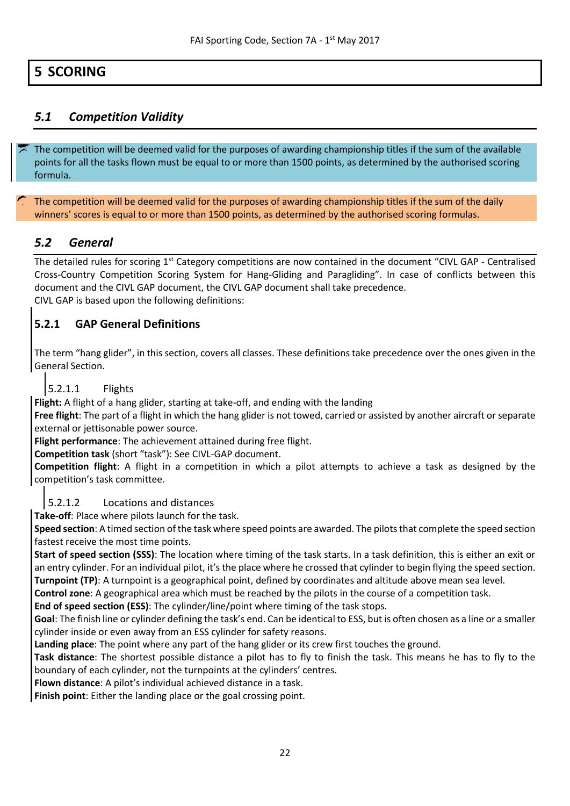## <span id="page-21-0"></span>**5 SCORING**

## <span id="page-21-1"></span>*5.1 Competition Validity*

The competition will be deemed valid for the purposes of awarding championship titles if the sum of the available points for all the tasks flown must be equal to or more than 1500 points, as determined by the authorised scoring formula.

The competition will be deemed valid for the purposes of awarding championship titles if the sum of the daily winners' scores is equal to or more than 1500 points, as determined by the authorised scoring formulas.

## <span id="page-21-2"></span>*5.2 General*

The detailed rules for scoring 1<sup>st</sup> Category competitions are now contained in the document "CIVL GAP - Centralised Cross-Country Competition Scoring System for Hang-Gliding and Paragliding". In case of conflicts between this document and the CIVL GAP document, the CIVL GAP document shall take precedence. CIVL GAP is based upon the following definitions:

## <span id="page-21-3"></span>**5.2.1 GAP General Definitions**

The term "hang glider", in this section, covers all classes. These definitions take precedence over the ones given in the General Section.

#### <span id="page-21-4"></span>5.2.1.1 Flights

**Flight:** A flight of a hang glider, starting at take-off, and ending with the landing

**Free flight**: The part of a flight in which the hang glider is not towed, carried or assisted by another aircraft or separate external or jettisonable power source.

**Flight performance**: The achievement attained during free flight.

**Competition task** (short "task"): See CIVL-GAP document.

**Competition flight**: A flight in a competition in which a pilot attempts to achieve a task as designed by the competition's task committee.

#### <span id="page-21-5"></span>5.2.1.2 Locations and distances

**Take-off**: Place where pilots launch for the task.

**Speed section**: A timed section of the task where speed points are awarded. The pilots that complete the speed section fastest receive the most time points.

**Start of speed section (SSS)**: The location where timing of the task starts. In a task definition, this is either an exit or an entry cylinder. For an individual pilot, it's the place where he crossed that cylinder to begin flying the speed section. **Turnpoint (TP)**: A turnpoint is a geographical point, defined by coordinates and altitude above mean sea level.

**Control zone**: A geographical area which must be reached by the pilots in the course of a competition task.

**End of speed section (ESS)**: The cylinder/line/point where timing of the task stops.

**Goal**: The finish line or cylinder defining the task's end. Can be identical to ESS, but is often chosen as a line or a smaller cylinder inside or even away from an ESS cylinder for safety reasons.

**Landing place**: The point where any part of the hang glider or its crew first touches the ground.

**Task distance**: The shortest possible distance a pilot has to fly to finish the task. This means he has to fly to the boundary of each cylinder, not the turnpoints at the cylinders' centres.

**Flown distance**: A pilot's individual achieved distance in a task.

**Finish point**: Either the landing place or the goal crossing point.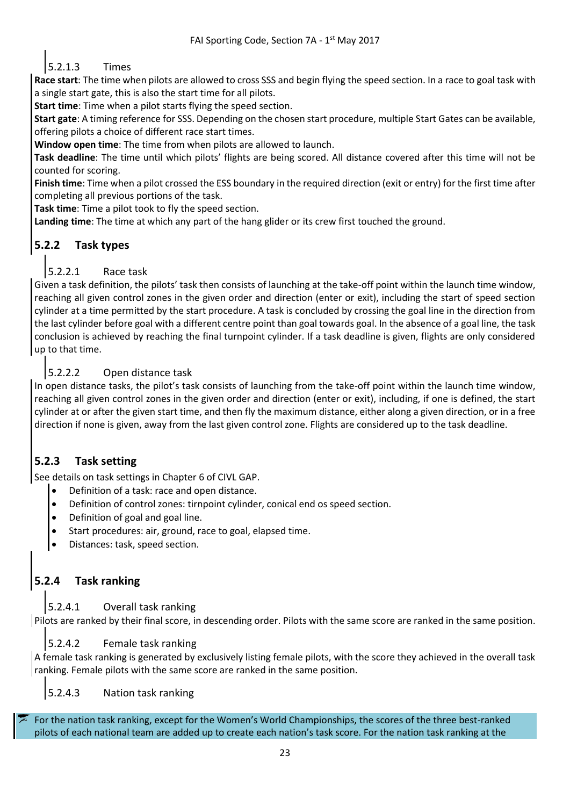## <span id="page-22-0"></span>5.2.1.3 Times

**Race start**: The time when pilots are allowed to cross SSS and begin flying the speed section. In a race to goal task with a single start gate, this is also the start time for all pilots.

**Start time**: Time when a pilot starts flying the speed section.

**Start gate**: A timing reference for SSS. Depending on the chosen start procedure, multiple Start Gates can be available, offering pilots a choice of different race start times.

**Window open time**: The time from when pilots are allowed to launch.

**Task deadline**: The time until which pilots' flights are being scored. All distance covered after this time will not be counted for scoring.

**Finish time**: Time when a pilot crossed the ESS boundary in the required direction (exit or entry) for the first time after completing all previous portions of the task.

**Task time**: Time a pilot took to fly the speed section.

**Landing time**: The time at which any part of the hang glider or its crew first touched the ground.

## <span id="page-22-1"></span>**5.2.2 Task types**

### <span id="page-22-2"></span>5.2.2.1 Race task

Given a task definition, the pilots' task then consists of launching at the take-off point within the launch time window, reaching all given control zones in the given order and direction (enter or exit), including the start of speed section cylinder at a time permitted by the start procedure. A task is concluded by crossing the goal line in the direction from the last cylinder before goal with a different centre point than goal towards goal. In the absence of a goal line, the task conclusion is achieved by reaching the final turnpoint cylinder. If a task deadline is given, flights are only considered up to that time.

#### <span id="page-22-3"></span>5.2.2.2 Open distance task

In open distance tasks, the pilot's task consists of launching from the take-off point within the launch time window, reaching all given control zones in the given order and direction (enter or exit), including, if one is defined, the start cylinder at or after the given start time, and then fly the maximum distance, either along a given direction, or in a free direction if none is given, away from the last given control zone. Flights are considered up to the task deadline.

## <span id="page-22-4"></span>**5.2.3 Task setting**

See details on task settings in Chapter 6 of CIVL GAP.

- Definition of a task: race and open distance.
- Definition of control zones: tirnpoint cylinder, conical end os speed section.
- Definition of goal and goal line.
- Start procedures: air, ground, race to goal, elapsed time.
- Distances: task, speed section.

## <span id="page-22-5"></span>**5.2.4 Task ranking**

#### <span id="page-22-6"></span>5.2.4.1 Overall task ranking

<span id="page-22-7"></span>Pilots are ranked by their final score, in descending order. Pilots with the same score are ranked in the same position.

#### 5.2.4.2 Female task ranking

A female task ranking is generated by exclusively listing female pilots, with the score they achieved in the overall task ranking. Female pilots with the same score are ranked in the same position.

#### <span id="page-22-8"></span>5.2.4.3 Nation task ranking

For the nation task ranking, except for the Women's World Championships, the scores of the three best-ranked pilots of each national team are added up to create each nation's task score. For the nation task ranking at the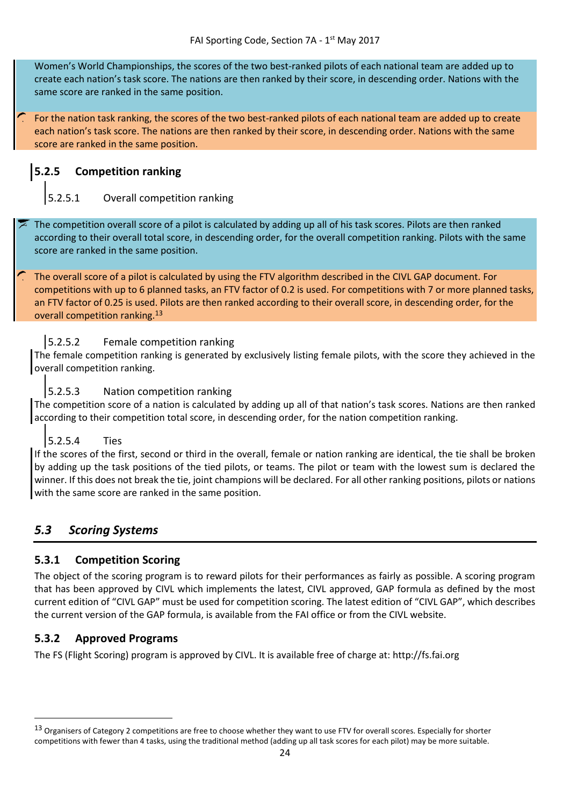Women's World Championships, the scores of the two best-ranked pilots of each national team are added up to create each nation's task score. The nations are then ranked by their score, in descending order. Nations with the same score are ranked in the same position.

For the nation task ranking, the scores of the two best-ranked pilots of each national team are added up to create each nation's task score. The nations are then ranked by their score, in descending order. Nations with the same score are ranked in the same position.

## <span id="page-23-0"></span>**5.2.5 Competition ranking**

#### <span id="page-23-1"></span>5.2.5.1 Overall competition ranking

The competition overall score of a pilot is calculated by adding up all of his task scores. Pilots are then ranked according to their overall total score, in descending order, for the overall competition ranking. Pilots with the same score are ranked in the same position.

The overall score of a pilot is calculated by using the FTV algorithm described in the CIVL GAP document. For competitions with up to 6 planned tasks, an FTV factor of 0.2 is used. For competitions with 7 or more planned tasks, an FTV factor of 0.25 is used. Pilots are then ranked according to their overall score, in descending order, for the overall competition ranking.<sup>13</sup>

#### <span id="page-23-2"></span>5.2.5.2 Female competition ranking

The female competition ranking is generated by exclusively listing female pilots, with the score they achieved in the overall competition ranking.

#### <span id="page-23-3"></span>5.2.5.3 Nation competition ranking

The competition score of a nation is calculated by adding up all of that nation's task scores. Nations are then ranked according to their competition total score, in descending order, for the nation competition ranking.

#### <span id="page-23-4"></span>5.2.5.4 Ties

If the scores of the first, second or third in the overall, female or nation ranking are identical, the tie shall be broken by adding up the task positions of the tied pilots, or teams. The pilot or team with the lowest sum is declared the winner. If this does not break the tie, joint champions will be declared. For all other ranking positions, pilots or nations with the same score are ranked in the same position.

## <span id="page-23-5"></span>*5.3 Scoring Systems*

#### <span id="page-23-6"></span>**5.3.1 Competition Scoring**

The object of the scoring program is to reward pilots for their performances as fairly as possible. A scoring program that has been approved by CIVL which implements the latest, CIVL approved, GAP formula as defined by the most current edition of "CIVL GAP" must be used for competition scoring. The latest edition of "CIVL GAP", which describes the current version of the GAP formula, is available from the FAI office or from the CIVL website.

#### <span id="page-23-7"></span>**5.3.2 Approved Programs**

**.** 

The FS (Flight Scoring) program is approved by CIVL. It is available free of charge at: [http://fs.fai.org](http://fs.fai.org/)

<sup>&</sup>lt;sup>13</sup> Organisers of Category 2 competitions are free to choose whether they want to use FTV for overall scores. Especially for shorter competitions with fewer than 4 tasks, using the traditional method (adding up all task scores for each pilot) may be more suitable.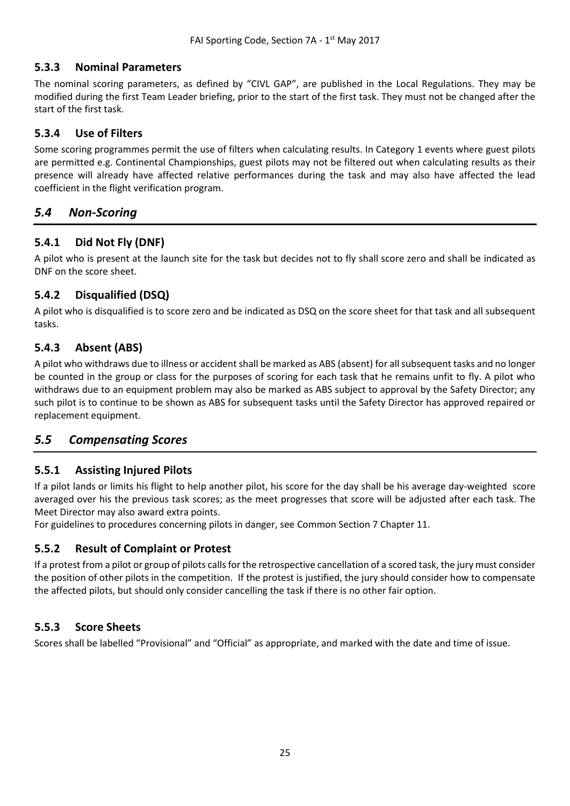### <span id="page-24-0"></span>**5.3.3 Nominal Parameters**

The nominal scoring parameters, as defined by "CIVL GAP", are published in the Local Regulations. They may be modified during the first Team Leader briefing, prior to the start of the first task. They must not be changed after the start of the first task.

## <span id="page-24-1"></span>**5.3.4 Use of Filters**

Some scoring programmes permit the use of filters when calculating results. In Category 1 events where guest pilots are permitted e.g. Continental Championships, guest pilots may not be filtered out when calculating results as their presence will already have affected relative performances during the task and may also have affected the lead coefficient in the flight verification program.

## <span id="page-24-2"></span>*5.4 Non-Scoring*

### <span id="page-24-3"></span>**5.4.1 Did Not Fly (DNF)**

A pilot who is present at the launch site for the task but decides not to fly shall score zero and shall be indicated as DNF on the score sheet.

### <span id="page-24-4"></span>**5.4.2 Disqualified (DSQ)**

A pilot who is disqualified is to score zero and be indicated as DSQ on the score sheet for that task and all subsequent tasks.

### <span id="page-24-5"></span>**5.4.3 Absent (ABS)**

A pilot who withdraws due to illness or accident shall be marked as ABS (absent) for all subsequent tasks and no longer be counted in the group or class for the purposes of scoring for each task that he remains unfit to fly. A pilot who withdraws due to an equipment problem may also be marked as ABS subject to approval by the Safety Director; any such pilot is to continue to be shown as ABS for subsequent tasks until the Safety Director has approved repaired or replacement equipment.

## <span id="page-24-6"></span>*5.5 Compensating Scores*

#### <span id="page-24-7"></span>**5.5.1 Assisting Injured Pilots**

If a pilot lands or limits his flight to help another pilot, his score for the day shall be his average day-weighted score averaged over his the previous task scores; as the meet progresses that score will be adjusted after each task. The Meet Director may also award extra points.

For guidelines to procedures concerning pilots in danger, see Common Section 7 Chapter 11.

#### <span id="page-24-8"></span>**5.5.2 Result of Complaint or Protest**

If a protest from a pilot or group of pilots calls for the retrospective cancellation of a scored task, the jury must consider the position of other pilots in the competition. If the protest is justified, the jury should consider how to compensate the affected pilots, but should only consider cancelling the task if there is no other fair option.

#### <span id="page-24-9"></span>**5.5.3 Score Sheets**

Scores shall be labelled "Provisional" and "Official" as appropriate, and marked with the date and time of issue.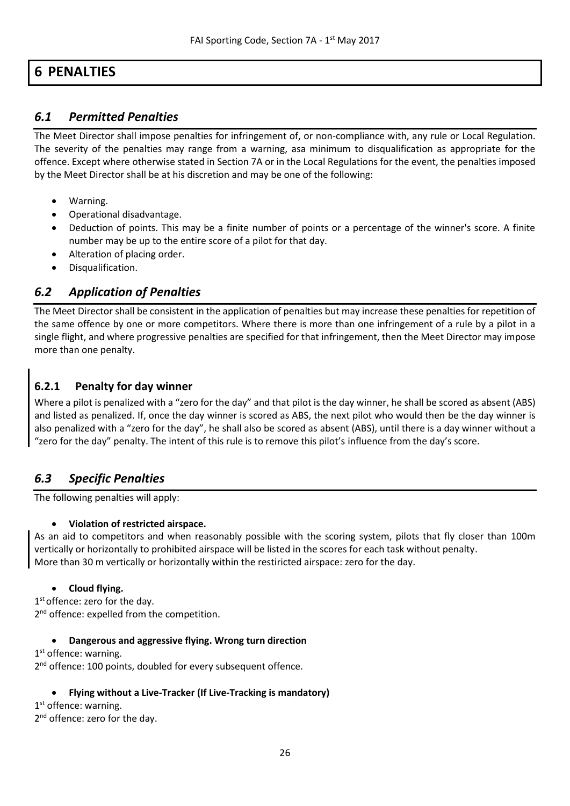## <span id="page-25-0"></span>**6 PENALTIES**

## <span id="page-25-1"></span>*6.1 Permitted Penalties*

The Meet Director shall impose penalties for infringement of, or non-compliance with, any rule or Local Regulation. The severity of the penalties may range from a warning, asa minimum to disqualification as appropriate for the offence. Except where otherwise stated in Section 7A or in the Local Regulations for the event, the penalties imposed by the Meet Director shall be at his discretion and may be one of the following:

- Warning.
- Operational disadvantage.
- Deduction of points. This may be a finite number of points or a percentage of the winner's score. A finite number may be up to the entire score of a pilot for that day.
- Alteration of placing order.
- Disqualification.

## <span id="page-25-2"></span>*6.2 Application of Penalties*

The Meet Director shall be consistent in the application of penalties but may increase these penalties for repetition of the same offence by one or more competitors. Where there is more than one infringement of a rule by a pilot in a single flight, and where progressive penalties are specified for that infringement, then the Meet Director may impose more than one penalty.

## <span id="page-25-3"></span>**6.2.1 Penalty for day winner**

Where a pilot is penalized with a "zero for the day" and that pilot is the day winner, he shall be scored as absent (ABS) and listed as penalized. If, once the day winner is scored as ABS, the next pilot who would then be the day winner is also penalized with a "zero for the day", he shall also be scored as absent (ABS), until there is a day winner without a "zero for the day" penalty. The intent of this rule is to remove this pilot's influence from the day's score.

## <span id="page-25-4"></span>*6.3 Specific Penalties*

The following penalties will apply:

#### • **Violation of restricted airspace.**

As an aid to competitors and when reasonably possible with the scoring system, pilots that fly closer than 100m vertically or horizontally to prohibited airspace will be listed in the scores for each task without penalty. More than 30 m vertically or horizontally within the restiricted airspace: zero for the day.

#### • **Cloud flying.**

1<sup>st</sup> offence: zero for the day. 2<sup>nd</sup> offence: expelled from the competition.

#### • **Dangerous and aggressive flying. Wrong turn direction**

1st offence: warning. 2<sup>nd</sup> offence: 100 points, doubled for every subsequent offence.

#### • **Flying without a Live-Tracker (If Live-Tracking is mandatory)**

1st offence: warning.

2<sup>nd</sup> offence: zero for the day.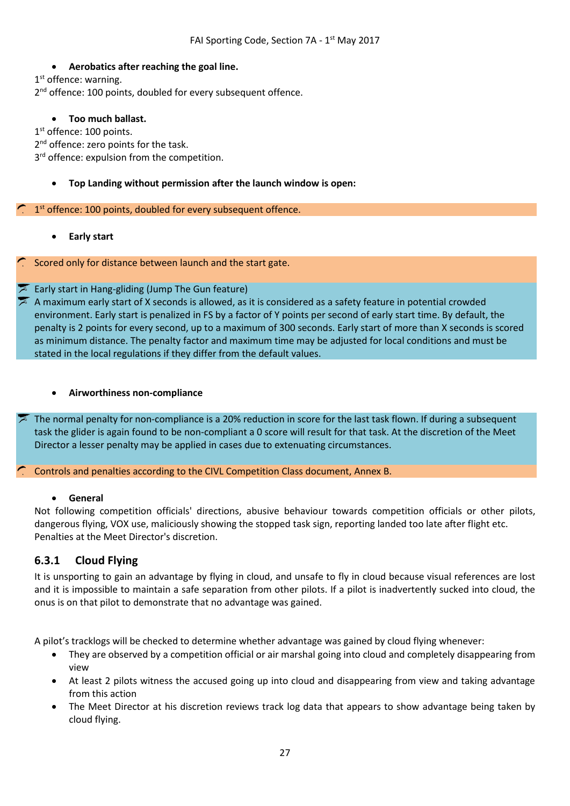#### • **Aerobatics after reaching the goal line.**

1st offence: warning.

2<sup>nd</sup> offence: 100 points, doubled for every subsequent offence.

#### • **Too much ballast.**

1st offence: 100 points. 2<sup>nd</sup> offence: zero points for the task. 3<sup>rd</sup> offence: expulsion from the competition.

#### • **Top Landing without permission after the launch window is open:**

1<sup>st</sup> offence: 100 points, doubled for every subsequent offence.

• **Early start**

Scored only for distance between launch and the start gate.

#### Early start in Hang-gliding (Jump The Gun feature)

A maximum early start of X seconds is allowed, as it is considered as a safety feature in potential crowded environment. Early start is penalized in FS by a factor of Y points per second of early start time. By default, the penalty is 2 points for every second, up to a maximum of 300 seconds. Early start of more than X seconds is scored as minimum distance. The penalty factor and maximum time may be adjusted for local conditions and must be stated in the local regulations if they differ from the default values.

#### • **Airworthiness non-compliance**

The normal penalty for non-compliance is a 20% reduction in score for the last task flown. If during a subsequent task the glider is again found to be non-compliant a 0 score will result for that task. At the discretion of the Meet Director a lesser penalty may be applied in cases due to extenuating circumstances.

Controls and penalties according to the CIVL Competition Class document, Annex B.

#### • **General**

Not following competition officials' directions, abusive behaviour towards competition officials or other pilots, dangerous flying, VOX use, maliciously showing the stopped task sign, reporting landed too late after flight etc. Penalties at the Meet Director's discretion.

#### <span id="page-26-0"></span>**6.3.1 Cloud Flying**

It is unsporting to gain an advantage by flying in cloud, and unsafe to fly in cloud because visual references are lost and it is impossible to maintain a safe separation from other pilots. If a pilot is inadvertently sucked into cloud, the onus is on that pilot to demonstrate that no advantage was gained.

A pilot's tracklogs will be checked to determine whether advantage was gained by cloud flying whenever:

- They are observed by a competition official or air marshal going into cloud and completely disappearing from view
- At least 2 pilots witness the accused going up into cloud and disappearing from view and taking advantage from this action
- The Meet Director at his discretion reviews track log data that appears to show advantage being taken by cloud flying.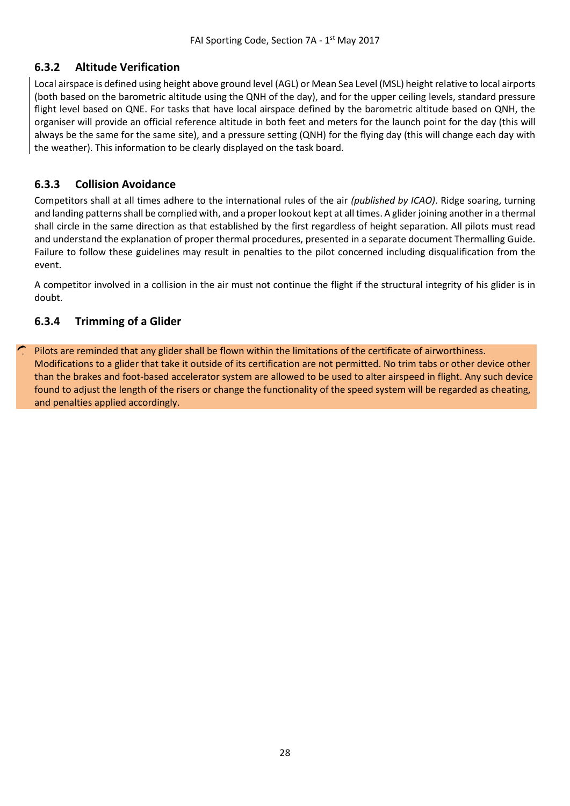## <span id="page-27-0"></span>**6.3.2 Altitude Verification**

Local airspace is defined using height above ground level (AGL) or Mean Sea Level (MSL) height relative to local airports (both based on the barometric altitude using the QNH of the day), and for the upper ceiling levels, standard pressure flight level based on QNE. For tasks that have local airspace defined by the barometric altitude based on QNH, the organiser will provide an official reference altitude in both feet and meters for the launch point for the day (this will always be the same for the same site), and a pressure setting (QNH) for the flying day (this will change each day with the weather). This information to be clearly displayed on the task board.

## <span id="page-27-1"></span>**6.3.3 Collision Avoidance**

Competitors shall at all times adhere to the international rules of the air *(published by ICAO)*. Ridge soaring, turning and landing patterns shall be complied with, and a proper lookout kept at all times. A glider joining another in a thermal shall circle in the same direction as that established by the first regardless of height separation. All pilots must read and understand the explanation of proper thermal procedures, presented in a separate document Thermalling Guide. Failure to follow these guidelines may result in penalties to the pilot concerned including disqualification from the event.

A competitor involved in a collision in the air must not continue the flight if the structural integrity of his glider is in doubt.

## <span id="page-27-2"></span>**6.3.4 Trimming of a Glider**

Pilots are reminded that any glider shall be flown within the limitations of the certificate of airworthiness. Modifications to a glider that take it outside of its certification are not permitted. No trim tabs or other device other than the brakes and foot-based accelerator system are allowed to be used to alter airspeed in flight. Any such device found to adjust the length of the risers or change the functionality of the speed system will be regarded as cheating, and penalties applied accordingly.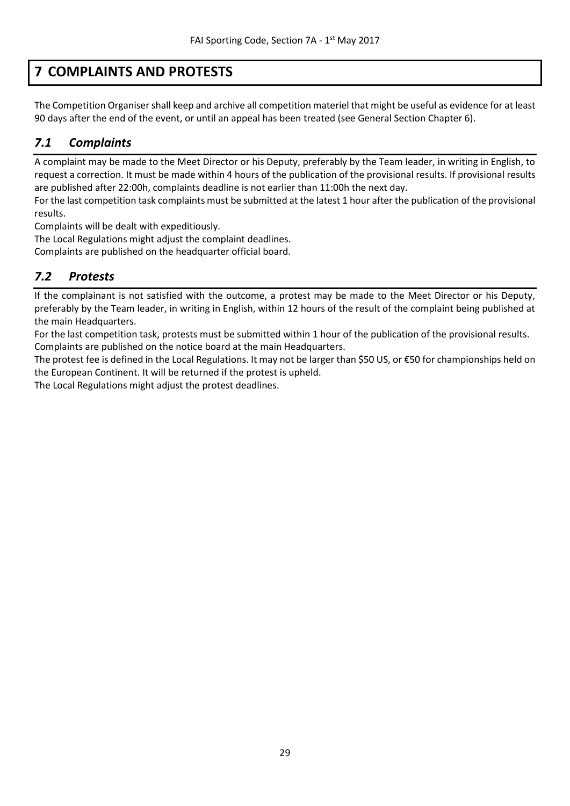## <span id="page-28-0"></span>**7 COMPLAINTS AND PROTESTS**

The Competition Organiser shall keep and archive all competition materiel that might be useful as evidence for at least 90 days after the end of the event, or until an appeal has been treated (see General Section Chapter 6).

## <span id="page-28-1"></span>*7.1 Complaints*

A complaint may be made to the Meet Director or his Deputy, preferably by the Team leader, in writing in English, to request a correction. It must be made within 4 hours of the publication of the provisional results. If provisional results are published after 22:00h, complaints deadline is not earlier than 11:00h the next day.

For the last competition task complaints must be submitted at the latest 1 hour after the publication of the provisional results.

Complaints will be dealt with expeditiously.

The Local Regulations might adjust the complaint deadlines.

Complaints are published on the headquarter official board.

## <span id="page-28-2"></span>*7.2 Protests*

If the complainant is not satisfied with the outcome, a protest may be made to the Meet Director or his Deputy, preferably by the Team leader, in writing in English, within 12 hours of the result of the complaint being published at the main Headquarters.

For the last competition task, protests must be submitted within 1 hour of the publication of the provisional results. Complaints are published on the notice board at the main Headquarters.

The protest fee is defined in the Local Regulations. It may not be larger than \$50 US, or €50 for championships held on the European Continent. It will be returned if the protest is upheld.

The Local Regulations might adjust the protest deadlines.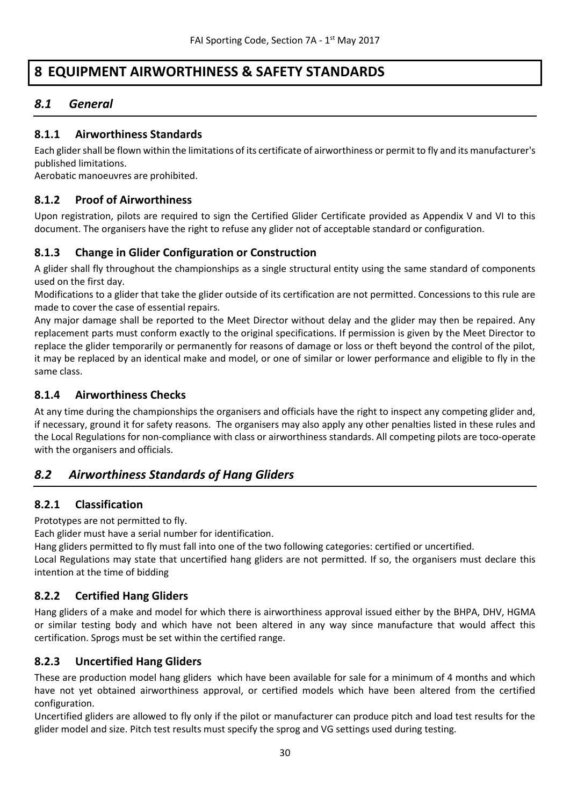## <span id="page-29-0"></span>**8 EQUIPMENT AIRWORTHINESS & SAFETY STANDARDS**

## <span id="page-29-1"></span>*8.1 General*

### <span id="page-29-2"></span>**8.1.1 Airworthiness Standards**

Each glider shall be flown within the limitations of its certificate of airworthiness or permit to fly and its manufacturer's published limitations.

Aerobatic manoeuvres are prohibited.

#### <span id="page-29-3"></span>**8.1.2 Proof of Airworthiness**

Upon registration, pilots are required to sign the Certified Glider Certificate provided as Appendix V and VI to this document. The organisers have the right to refuse any glider not of acceptable standard or configuration.

### <span id="page-29-4"></span>**8.1.3 Change in Glider Configuration or Construction**

A glider shall fly throughout the championships as a single structural entity using the same standard of components used on the first day.

Modifications to a glider that take the glider outside of its certification are not permitted. Concessions to this rule are made to cover the case of essential repairs.

Any major damage shall be reported to the Meet Director without delay and the glider may then be repaired. Any replacement parts must conform exactly to the original specifications. If permission is given by the Meet Director to replace the glider temporarily or permanently for reasons of damage or loss or theft beyond the control of the pilot, it may be replaced by an identical make and model, or one of similar or lower performance and eligible to fly in the same class.

### <span id="page-29-5"></span>**8.1.4 Airworthiness Checks**

At any time during the championships the organisers and officials have the right to inspect any competing glider and, if necessary, ground it for safety reasons. The organisers may also apply any other penalties listed in these rules and the Local Regulations for non-compliance with class or airworthiness standards. All competing pilots are toco-operate with the organisers and officials.

## <span id="page-29-6"></span>*8.2 Airworthiness Standards of Hang Gliders*

#### <span id="page-29-7"></span>**8.2.1 Classification**

Prototypes are not permitted to fly.

Each glider must have a serial number for identification.

Hang gliders permitted to fly must fall into one of the two following categories: certified or uncertified.

Local Regulations may state that uncertified hang gliders are not permitted. If so, the organisers must declare this intention at the time of bidding

## <span id="page-29-8"></span>**8.2.2 Certified Hang Gliders**

Hang gliders of a make and model for which there is airworthiness approval issued either by the BHPA, DHV, HGMA or similar testing body and which have not been altered in any way since manufacture that would affect this certification. Sprogs must be set within the certified range.

## <span id="page-29-9"></span>**8.2.3 Uncertified Hang Gliders**

These are production model hang gliders which have been available for sale for a minimum of 4 months and which have not yet obtained airworthiness approval, or certified models which have been altered from the certified configuration.

Uncertified gliders are allowed to fly only if the pilot or manufacturer can produce pitch and load test results for the glider model and size. Pitch test results must specify the sprog and VG settings used during testing.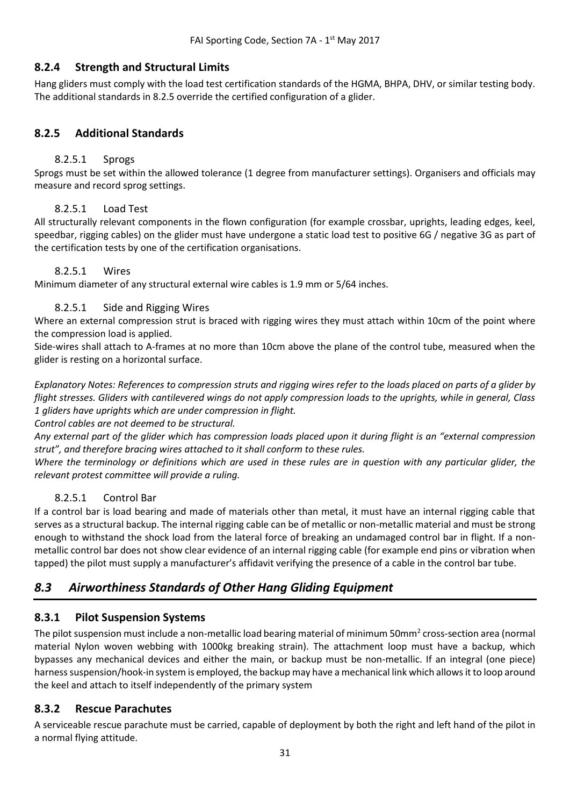### <span id="page-30-0"></span>**8.2.4 Strength and Structural Limits**

Hang gliders must comply with the load test certification standards of the HGMA, BHPA, DHV, or similar testing body. The additional standards in 8.2.5 override the certified configuration of a glider.

#### <span id="page-30-2"></span><span id="page-30-1"></span>**8.2.5 Additional Standards**

#### 8.2.5.1 Sprogs

Sprogs must be set within the allowed tolerance (1 degree from manufacturer settings). Organisers and officials may measure and record sprog settings.

#### 8.2.5.1 Load Test

<span id="page-30-3"></span>All structurally relevant components in the flown configuration (for example crossbar, uprights, leading edges, keel, speedbar, rigging cables) on the glider must have undergone a static load test to positive 6G / negative 3G as part of the certification tests by one of the certification organisations.

#### 8.2.5.1 Wires

<span id="page-30-5"></span><span id="page-30-4"></span>Minimum diameter of any structural external wire cables is 1.9 mm or 5/64 inches.

#### 8.2.5.1 Side and Rigging Wires

Where an external compression strut is braced with rigging wires they must attach within 10cm of the point where the compression load is applied.

Side-wires shall attach to A-frames at no more than 10cm above the plane of the control tube, measured when the glider is resting on a horizontal surface.

*Explanatory Notes: References to compression struts and rigging wires refer to the loads placed on parts of a glider by flight stresses. Gliders with cantilevered wings do not apply compression loads to the uprights, while in general, Class 1 gliders have uprights which are under compression in flight.*

*Control cables are not deemed to be structural.*

*Any external part of the glider which has compression loads placed upon it during flight is an "external compression strut", and therefore bracing wires attached to it shall conform to these rules.*

*Where the terminology or definitions which are used in these rules are in question with any particular glider, the relevant protest committee will provide a ruling.*

#### 8.2.5.1 Control Bar

<span id="page-30-6"></span>If a control bar is load bearing and made of materials other than metal, it must have an internal rigging cable that serves as a structural backup. The internal rigging cable can be of metallic or non-metallic material and must be strong enough to withstand the shock load from the lateral force of breaking an undamaged control bar in flight. If a nonmetallic control bar does not show clear evidence of an internal rigging cable (for example end pins or vibration when tapped) the pilot must supply a manufacturer's affidavit verifying the presence of a cable in the control bar tube.

## <span id="page-30-7"></span>*8.3 Airworthiness Standards of Other Hang Gliding Equipment*

#### <span id="page-30-8"></span>**8.3.1 Pilot Suspension Systems**

The pilot suspension must include a non-metallic load bearing material of minimum 50mm<sup>2</sup> cross-section area (normal material Nylon woven webbing with 1000kg breaking strain). The attachment loop must have a backup, which bypasses any mechanical devices and either the main, or backup must be non-metallic. If an integral (one piece) harness suspension/hook-in system is employed, the backup may have a mechanical link which allows it to loop around the keel and attach to itself independently of the primary system

#### <span id="page-30-9"></span>**8.3.2 Rescue Parachutes**

A serviceable rescue parachute must be carried, capable of deployment by both the right and left hand of the pilot in a normal flying attitude.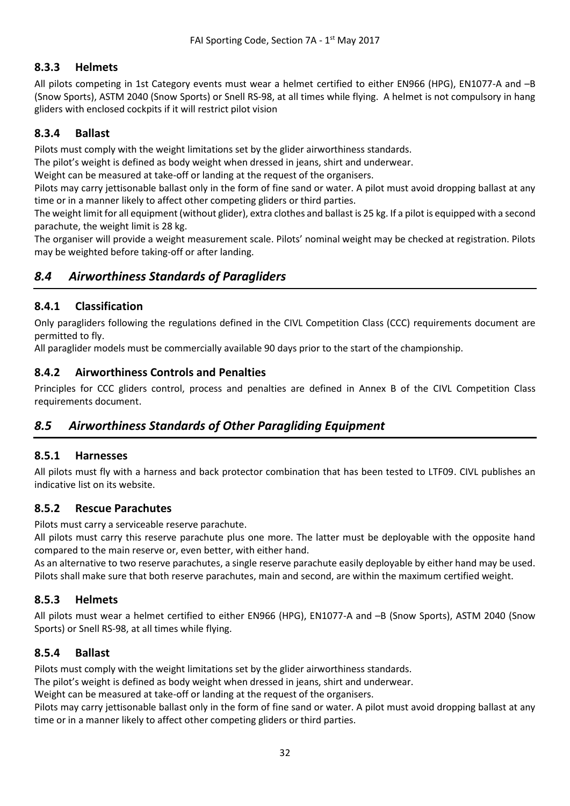## <span id="page-31-0"></span>**8.3.3 Helmets**

All pilots competing in 1st Category events must wear a helmet certified to either EN966 (HPG), EN1077-A and –B (Snow Sports), ASTM 2040 (Snow Sports) or Snell RS-98, at all times while flying. A helmet is not compulsory in hang gliders with enclosed cockpits if it will restrict pilot vision

## <span id="page-31-1"></span>**8.3.4 Ballast**

Pilots must comply with the weight limitations set by the glider airworthiness standards.

The pilot's weight is defined as body weight when dressed in jeans, shirt and underwear.

Weight can be measured at take-off or landing at the request of the organisers.

Pilots may carry jettisonable ballast only in the form of fine sand or water. A pilot must avoid dropping ballast at any time or in a manner likely to affect other competing gliders or third parties.

The weight limit for all equipment (without glider), extra clothes and ballast is 25 kg. If a pilot is equipped with a second parachute, the weight limit is 28 kg.

The organiser will provide a weight measurement scale. Pilots' nominal weight may be checked at registration. Pilots may be weighted before taking-off or after landing.

## <span id="page-31-2"></span>*8.4 Airworthiness Standards of Paragliders*

## <span id="page-31-3"></span>**8.4.1 Classification**

Only paragliders following the regulations defined in the CIVL Competition Class (CCC) requirements document are permitted to fly.

All paraglider models must be commercially available 90 days prior to the start of the championship.

### <span id="page-31-4"></span>**8.4.2 Airworthiness Controls and Penalties**

Principles for CCC gliders control, process and penalties are defined in Annex B of the CIVL Competition Class requirements document.

## <span id="page-31-5"></span>*8.5 Airworthiness Standards of Other Paragliding Equipment*

#### <span id="page-31-6"></span>**8.5.1 Harnesses**

All pilots must fly with a harness and back protector combination that has been tested to LTF09. CIVL publishes an indicative list on its website.

#### <span id="page-31-7"></span>**8.5.2 Rescue Parachutes**

Pilots must carry a serviceable reserve parachute.

All pilots must carry this reserve parachute plus one more. The latter must be deployable with the opposite hand compared to the main reserve or, even better, with either hand.

As an alternative to two reserve parachutes, a single reserve parachute easily deployable by either hand may be used. Pilots shall make sure that both reserve parachutes, main and second, are within the maximum certified weight.

## <span id="page-31-8"></span>**8.5.3 Helmets**

All pilots must wear a helmet certified to either EN966 (HPG), EN1077-A and –B (Snow Sports), ASTM 2040 (Snow Sports) or Snell RS-98, at all times while flying.

## <span id="page-31-9"></span>**8.5.4 Ballast**

Pilots must comply with the weight limitations set by the glider airworthiness standards.

The pilot's weight is defined as body weight when dressed in jeans, shirt and underwear.

Weight can be measured at take-off or landing at the request of the organisers.

Pilots may carry jettisonable ballast only in the form of fine sand or water. A pilot must avoid dropping ballast at any time or in a manner likely to affect other competing gliders or third parties.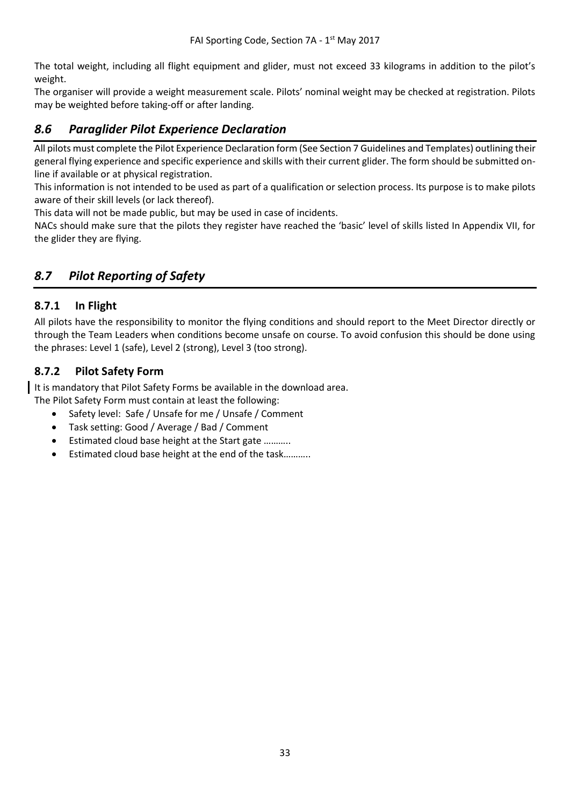The total weight, including all flight equipment and glider, must not exceed 33 kilograms in addition to the pilot's weight.

The organiser will provide a weight measurement scale. Pilots' nominal weight may be checked at registration. Pilots may be weighted before taking-off or after landing.

## <span id="page-32-0"></span>*8.6 Paraglider Pilot Experience Declaration*

All pilots must complete the Pilot Experience Declaration form (See Section 7 Guidelines and Templates) outlining their general flying experience and specific experience and skills with their current glider. The form should be submitted online if available or at physical registration.

This information is not intended to be used as part of a qualification or selection process. Its purpose is to make pilots aware of their skill levels (or lack thereof).

This data will not be made public, but may be used in case of incidents.

NACs should make sure that the pilots they register have reached the 'basic' level of skills listed In Appendix VII, for the glider they are flying.

## <span id="page-32-1"></span>*8.7 Pilot Reporting of Safety*

## <span id="page-32-2"></span>**8.7.1 In Flight**

All pilots have the responsibility to monitor the flying conditions and should report to the Meet Director directly or through the Team Leaders when conditions become unsafe on course. To avoid confusion this should be done using the phrases: Level 1 (safe), Level 2 (strong), Level 3 (too strong).

## <span id="page-32-3"></span>**8.7.2 Pilot Safety Form**

It is mandatory that Pilot Safety Forms be available in the download area. The Pilot Safety Form must contain at least the following:

- Safety level: Safe / Unsafe for me / Unsafe / Comment
- Task setting: Good / Average / Bad / Comment
- Estimated cloud base height at the Start gate ………..
- Estimated cloud base height at the end of the task...........